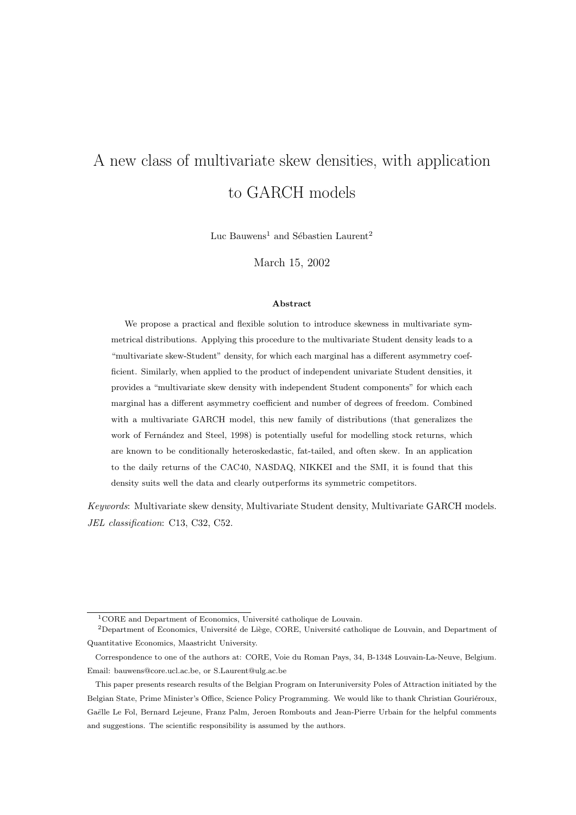# A new class of multivariate skew densities, with application to GARCH models

Luc Bauwens<sup>1</sup> and Sébastien Laurent<sup>2</sup>

March 15, 2002

#### **Abstract**

We propose a practical and flexible solution to introduce skewness in multivariate symmetrical distributions. Applying this procedure to the multivariate Student density leads to a "multivariate skew-Student" density, for which each marginal has a different asymmetry coefficient. Similarly, when applied to the product ofindependent univariate Student densities, it provides a "multivariate skew density with independent Student components" for which each marginal has a different asymmetry coefficient and number of degrees of freedom. Combined with a multivariate GARCH model, this new family of distributions (that generalizes the work of Fernández and Steel, 1998) is potentially useful for modelling stock returns, which are known to be conditionally heteroskedastic, fat-tailed, and often skew. In an application to the daily returns of the CAC40, NASDAQ, NIKKEI and the SMI, it is found that this density suits well the data and clearly outperforms its symmetric competitors.

Keywords: Multivariate skew density, Multivariate Student density, Multivariate GARCH models. JEL classification: C13, C32, C52.

 ${}^{1}$ CORE and Department of Economics, Université catholique de Louvain.

<sup>&</sup>lt;sup>2</sup>Department of Economics, Université de Liège, CORE, Université catholique de Louvain, and Department of Quantitative Economics, Maastricht University.

Correspondence to one of the authors at: CORE, Voie du Roman Pays, 34, B-1348 Louvain-La-Neuve, Belgium. Email: bauwens@core.ucl.ac.be, or S.Laurent@ulg.ac.be

This paper presents research results of the Belgian Program on Interuniversity Poles of Attraction initiated by the Belgian State, Prime Minister's Office, Science Policy Programming. We would like to thank Christian Gouriéroux, Gaëlle Le Fol, Bernard Lejeune, Franz Palm, Jeroen Rombouts and Jean-Pierre Urbain for the helpful comments and suggestions. The scientific responsibility is assumed by the authors.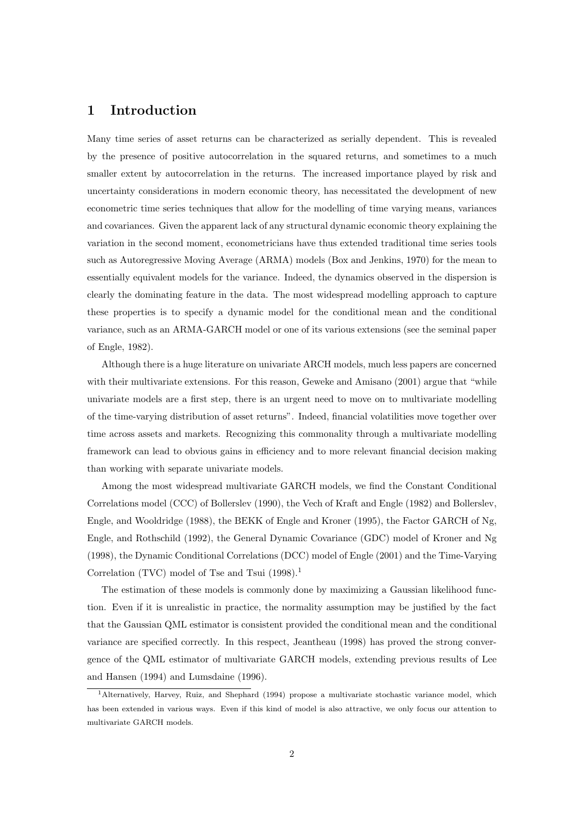# **1 Introduction**

Many time series of asset returns can be characterized as serially dependent. This is revealed by the presence of positive autocorrelation in the squared returns, and sometimes to a much smaller extent by autocorrelation in the returns. The increased importance played by risk and uncertainty considerations in modern economic theory, has necessitated the development of new econometric time series techniques that allow for the modelling of time varying means, variances and covariances. Given the apparent lack of any structural dynamic economic theory explaining the variation in the second moment, econometricians have thus extended traditional time series tools such as Autoregressive Moving Average (ARMA) models (Box and Jenkins, 1970) for the mean to essentially equivalent models for the variance. Indeed, the dynamics observed in the dispersion is clearly the dominating feature in the data. The most widespread modelling approach to capture these properties is to specify a dynamic model for the conditional mean and the conditional variance, such as an ARMA-GARCH model or one of its various extensions (see the seminal paper of Engle, 1982).

Although there is a huge literature on univariate ARCH models, much less papers are concerned with their multivariate extensions. For this reason, Geweke and Amisano (2001) argue that "while univariate models are a first step, there is an urgent need to move on to multivariate modelling of the time-varying distribution of asset returns". Indeed, financial volatilities move together over time across assets and markets. Recognizing this commonality through a multivariate modelling framework can lead to obvious gains in efficiency and to more relevant financial decision making than working with separate univariate models.

Among the most widespread multivariate GARCH models, we find the Constant Conditional Correlations model (CCC) of Bollerslev (1990), the Vech of Kraft and Engle (1982) and Bollerslev, Engle, and Wooldridge (1988), the BEKK of Engle and Kroner (1995), the Factor GARCH of Ng, Engle, and Rothschild (1992), the General Dynamic Covariance (GDC) model of Kroner and Ng (1998), the Dynamic Conditional Correlations (DCC) model of Engle (2001) and the Time-Varying Correlation (TVC) model of Tse and Tsui  $(1998).$ <sup>1</sup>

The estimation of these models is commonly done by maximizing a Gaussian likelihood function. Even if it is unrealistic in practice, the normality assumption may be justified by the fact that the Gaussian QML estimator is consistent provided the conditional mean and the conditional variance are specified correctly. In this respect, Jeantheau (1998) has proved the strong convergence of the QML estimator of multivariate GARCH models, extending previous results of Lee and Hansen (1994) and Lumsdaine (1996).

<sup>1</sup>Alternatively, Harvey, Ruiz, and Shephard (1994) propose a multivariate stochastic variance model, which has been extended in various ways. Even if this kind of model is also attractive, we only focus our attention to multivariate GARCH models.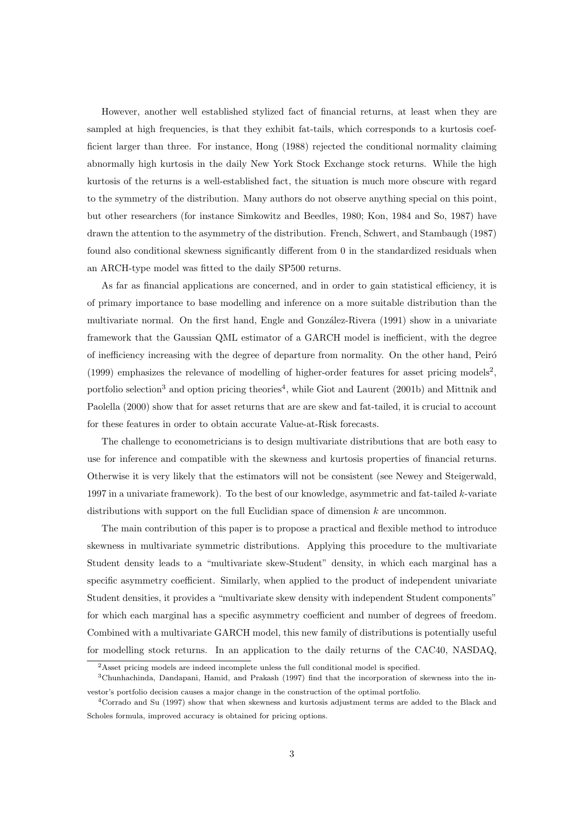However, another well established stylized fact of financial returns, at least when they are sampled at high frequencies, is that they exhibit fat-tails, which corresponds to a kurtosis coefficient larger than three. For instance, Hong (1988) rejected the conditional normality claiming abnormally high kurtosis in the daily New York Stock Exchange stock returns. While the high kurtosis of the returns is a well-established fact, the situation is much more obscure with regard to the symmetry of the distribution. Many authors do not observe anything special on this point, but other researchers (for instance Simkowitz and Beedles, 1980; Kon, 1984 and So, 1987) have drawn the attention to the asymmetry of the distribution. French, Schwert, and Stambaugh (1987) found also conditional skewness significantly different from 0 in the standardized residuals when an ARCH-type model was fitted to the daily SP500 returns.

As far as financial applications are concerned, and in order to gain statistical efficiency, it is of primary importance to base modelling and inference on a more suitable distribution than the multivariate normal. On the first hand, Engle and González-Rivera (1991) show in a univariate framework that the Gaussian QML estimator of a GARCH model is inefficient, with the degree of inefficiency increasing with the degree of departure from normality. On the other hand, Peiró (1999) emphasizes the relevance of modelling of higher-order features for asset pricing models<sup>2</sup>, portfolio selection<sup>3</sup> and option pricing theories<sup>4</sup>, while Giot and Laurent (2001b) and Mittnik and Paolella (2000) show that for asset returns that are are skew and fat-tailed, it is crucial to account for these features in order to obtain accurate Value-at-Risk forecasts.

The challenge to econometricians is to design multivariate distributions that are both easy to use for inference and compatible with the skewness and kurtosis properties of financial returns. Otherwise it is very likely that the estimators will not be consistent (see Newey and Steigerwald, 1997 in a univariate framework). To the best of our knowledge, asymmetric and fat-tailed  $k$ -variate distributions with support on the full Euclidian space of dimension  $k$  are uncommon.

The main contribution of this paper is to propose a practical and flexible method to introduce skewness in multivariate symmetric distributions. Applying this procedure to the multivariate Student density leads to a "multivariate skew-Student" density, in which each marginal has a specific asymmetry coefficient. Similarly, when applied to the product of independent univariate Student densities, it provides a "multivariate skew density with independent Student components" for which each marginal has a specific asymmetry coefficient and number of degrees of freedom. Combined with a multivariate GARCH model, this new family of distributions is potentially useful for modelling stock returns. In an application to the daily returns of the CAC40, NASDAQ,

<sup>&</sup>lt;sup>2</sup>Asset pricing models are indeed incomplete unless the full conditional model is specified.

<sup>3</sup>Chunhachinda, Dandapani, Hamid, and Prakash (1997) find that the incorporation of skewness into the investor's portfolio decision causes a major change in the construction of the optimal portfolio.

<sup>4</sup>Corrado and Su (1997) show that when skewness and kurtosis adjustment terms are added to the Black and Scholes formula, improved accuracy is obtained for pricing options.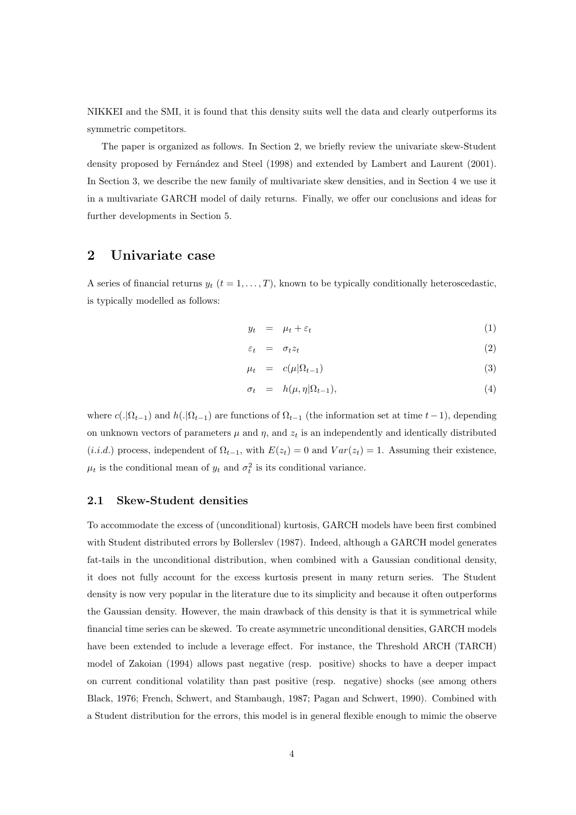NIKKEI and the SMI, it is found that this density suits well the data and clearly outperforms its symmetric competitors.

The paper is organized as follows. In Section 2, we briefly review the univariate skew-Student density proposed by Fernández and Steel (1998) and extended by Lambert and Laurent (2001). In Section 3, we describe the new family of multivariate skew densities, and in Section 4 we use it in a multivariate GARCH model of daily returns. Finally, we offer our conclusions and ideas for further developments in Section 5.

# **2 Univariate case**

A series of financial returns  $y_t$   $(t = 1, ..., T)$ , known to be typically conditionally heteroscedastic, is typically modelled as follows:

$$
y_t = \mu_t + \varepsilon_t \tag{1}
$$

$$
\varepsilon_t = \sigma_t z_t \tag{2}
$$

$$
\mu_t = c(\mu|\Omega_{t-1}) \tag{3}
$$

$$
\sigma_t = h(\mu, \eta | \Omega_{t-1}), \tag{4}
$$

where  $c(.|\Omega_{t-1})$  and  $h(.|\Omega_{t-1})$  are functions of  $\Omega_{t-1}$  (the information set at time  $t-1$ ), depending on unknown vectors of parameters  $\mu$  and  $\eta$ , and  $z_t$  is an independently and identically distributed (*i.i.d.*) process, independent of  $\Omega_{t-1}$ , with  $E(z_t) = 0$  and  $Var(z_t) = 1$ . Assuming their existence,  $\mu_t$  is the conditional mean of  $y_t$  and  $\sigma_t^2$  is its conditional variance.

#### **2.1 Skew-Student densities**

To accommodate the excess of (unconditional) kurtosis, GARCH models have been first combined with Student distributed errors by Bollerslev (1987). Indeed, although a GARCH model generates fat-tails in the unconditional distribution, when combined with a Gaussian conditional density, it does not fully account for the excess kurtosis present in many return series. The Student density is now very popular in the literature due to its simplicity and because it often outperforms the Gaussian density. However, the main drawback of this density is that it is symmetrical while financial time series can be skewed. To create asymmetric unconditional densities, GARCH models have been extended to include a leverage effect. For instance, the Threshold ARCH (TARCH) model of Zakoian (1994) allows past negative (resp. positive) shocks to have a deeper impact on current conditional volatility than past positive (resp. negative) shocks (see among others Black, 1976; French, Schwert, and Stambaugh, 1987; Pagan and Schwert, 1990). Combined with a Student distribution for the errors, this model is in general flexible enough to mimic the observe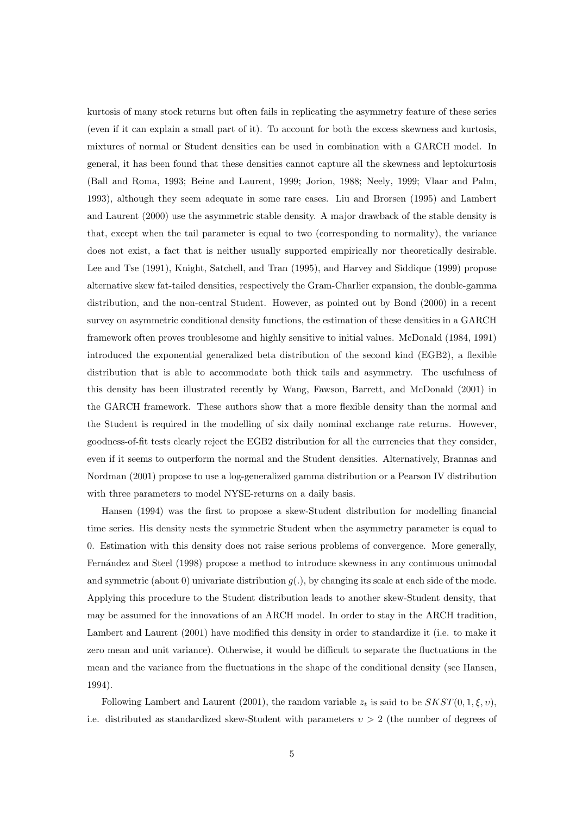kurtosis of many stock returns but often fails in replicating the asymmetry feature of these series (even if it can explain a small part of it). To account for both the excess skewness and kurtosis, mixtures of normal or Student densities can be used in combination with a GARCH model. In general, it has been found that these densities cannot capture all the skewness and leptokurtosis (Ball and Roma, 1993; Beine and Laurent, 1999; Jorion, 1988; Neely, 1999; Vlaar and Palm, 1993), although they seem adequate in some rare cases. Liu and Brorsen (1995) and Lambert and Laurent (2000) use the asymmetric stable density. A major drawback of the stable density is that, except when the tail parameter is equal to two (corresponding to normality), the variance does not exist, a fact that is neither usually supported empirically nor theoretically desirable. Lee and Tse (1991), Knight, Satchell, and Tran (1995), and Harvey and Siddique (1999) propose alternative skew fat-tailed densities, respectively the Gram-Charlier expansion, the double-gamma distribution, and the non-central Student. However, as pointed out by Bond (2000) in a recent survey on asymmetric conditional density functions, the estimation of these densities in a GARCH framework often proves troublesome and highly sensitive to initial values. McDonald (1984, 1991) introduced the exponential generalized beta distribution of the second kind (EGB2), a flexible distribution that is able to accommodate both thick tails and asymmetry. The usefulness of this density has been illustrated recently by Wang, Fawson, Barrett, and McDonald (2001) in the GARCH framework. These authors show that a more flexible density than the normal and the Student is required in the modelling of six daily nominal exchange rate returns. However, goodness-of-fit tests clearly reject the EGB2 distribution for all the currencies that they consider, even if it seems to outperform the normal and the Student densities. Alternatively, Brannas and Nordman (2001) propose to use a log-generalized gamma distribution or a Pearson IV distribution with three parameters to model NYSE-returns on a daily basis.

Hansen (1994) was the first to propose a skew-Student distribution for modelling financial time series. His density nests the symmetric Student when the asymmetry parameter is equal to 0. Estimation with this density does not raise serious problems of convergence. More generally, Fern´andez and Steel (1998) propose a method to introduce skewness in any continuous unimodal and symmetric (about 0) univariate distribution  $q(.)$ , by changing its scale at each side of the mode. Applying this procedure to the Student distribution leads to another skew-Student density, that may be assumed for the innovations of an ARCH model. In order to stay in the ARCH tradition, Lambert and Laurent (2001) have modified this density in order to standardize it (i.e. to make it zero mean and unit variance). Otherwise, it would be difficult to separate the fluctuations in the mean and the variance from the fluctuations in the shape of the conditional density (see Hansen, 1994).

Following Lambert and Laurent (2001), the random variable  $z_t$  is said to be  $SKST(0, 1, \xi, v)$ , i.e. distributed as standardized skew-Student with parameters  $v > 2$  (the number of degrees of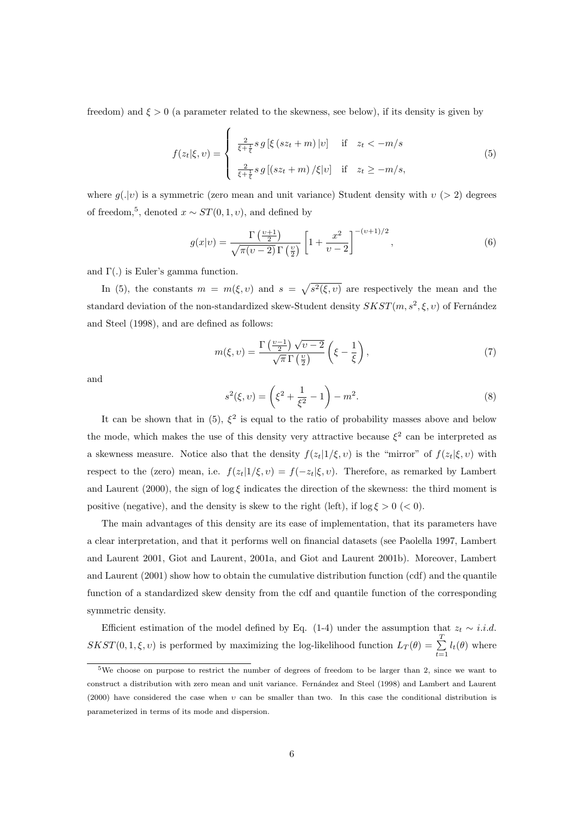freedom) and  $\xi > 0$  (a parameter related to the skewness, see below), if its density is given by

$$
f(z_t|\xi, v) = \begin{cases} \frac{2}{\xi + \frac{1}{\xi}} s g[\xi (sz_t + m) |v] & \text{if } z_t < -m/s\\ \frac{2}{\xi + \frac{1}{\xi}} s g[(sz_t + m) / \xi |v] & \text{if } z_t \ge -m/s, \end{cases}
$$
(5)

where  $g(.|v)$  is a symmetric (zero mean and unit variance) Student density with  $v$  (> 2) degrees of freedom,<sup>5</sup>, denoted  $x \sim ST(0, 1, v)$ , and defined by

$$
g(x|v) = \frac{\Gamma\left(\frac{v+1}{2}\right)}{\sqrt{\pi(v-2)}\Gamma\left(\frac{v}{2}\right)} \left[1 + \frac{x^2}{v-2}\right]^{-(v+1)/2},\tag{6}
$$

and Γ(.) is Euler's gamma function.

In (5), the constants  $m = m(\xi, v)$  and  $s = \sqrt{s^2(\xi, v)}$  are respectively the mean and the standard deviation of the non-standardized skew-Student density  $SKST(m, s^2, \xi, v)$  of Fernández and Steel (1998), and are defined as follows:

$$
m(\xi, \nu) = \frac{\Gamma\left(\frac{\nu - 1}{2}\right)\sqrt{\nu - 2}}{\sqrt{\pi}\,\Gamma\left(\frac{\nu}{2}\right)} \left(\xi - \frac{1}{\xi}\right),\tag{7}
$$

and

$$
s^{2}(\xi, v) = \left(\xi^{2} + \frac{1}{\xi^{2}} - 1\right) - m^{2}.
$$
 (8)

It can be shown that in (5),  $\xi^2$  is equal to the ratio of probability masses above and below the mode, which makes the use of this density very attractive because  $\xi^2$  can be interpreted as a skewness measure. Notice also that the density  $f(z_t|1/\xi, v)$  is the "mirror" of  $f(z_t|\xi, v)$  with respect to the (zero) mean, i.e.  $f(z_t|1/\xi, v) = f(-z_t|\xi, v)$ . Therefore, as remarked by Lambert and Laurent (2000), the sign of log  $\xi$  indicates the direction of the skewness: the third moment is positive (negative), and the density is skew to the right (left), if  $\log \xi > 0$  (< 0).

The main advantages of this density are its ease of implementation, that its parameters have a clear interpretation, and that it performs well on financial datasets (see Paolella 1997, Lambert and Laurent 2001, Giot and Laurent, 2001a, and Giot and Laurent 2001b). Moreover, Lambert and Laurent (2001) show how to obtain the cumulative distribution function (cdf) and the quantile function of a standardized skew density from the cdf and quantile function of the corresponding symmetric density.

Efficient estimation of the model defined by Eq. (1-4) under the assumption that  $z_t \sim i.i.d.$  $SKST(0,1,\xi,\nu)$  is performed by maximizing the log-likelihood function  $L_T(\theta) = \sum_{i=1}^{T}$  $\sum_{t=1} l_t(\theta)$  where

<sup>5</sup>We choose on purpose to restrict the number of degrees of freedom to be larger than 2, since we want to construct a distribution with zero mean and unit variance. Fernández and Steel (1998) and Lambert and Laurent (2000) have considered the case when  $v$  can be smaller than two. In this case the conditional distribution is parameterized in terms of its mode and dispersion.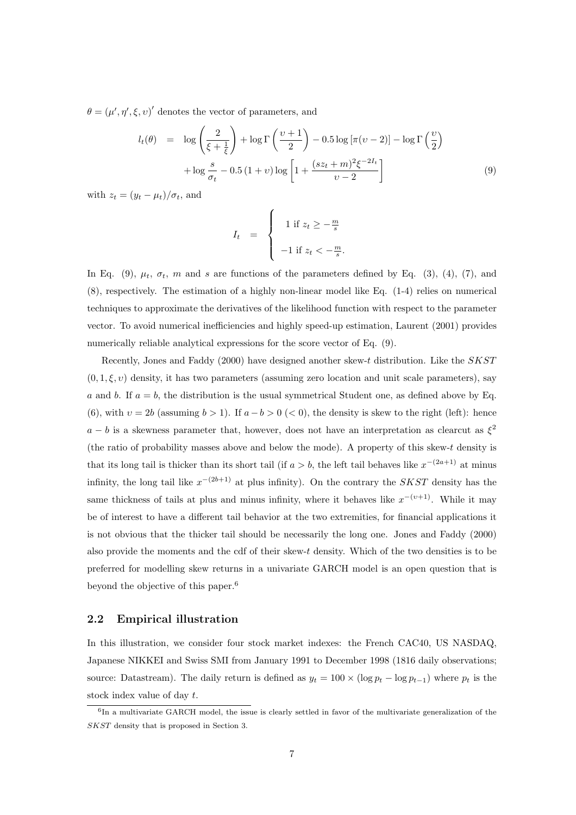$\theta = (\mu', \eta', \xi, \nu)'$  denotes the vector of parameters, and

$$
l_t(\theta) = \log\left(\frac{2}{\xi + \frac{1}{\xi}}\right) + \log\Gamma\left(\frac{\nu + 1}{2}\right) - 0.5\log\left[\pi(\nu - 2)\right] - \log\Gamma\left(\frac{\nu}{2}\right)
$$

$$
+ \log\frac{s}{\sigma_t} - 0.5(1 + \nu)\log\left[1 + \frac{(sz_t + m)^2\xi^{-2I_t}}{\nu - 2}\right] \tag{9}
$$

with  $z_t = (y_t - \mu_t)/\sigma_t$ , and

$$
I_t = \begin{cases} 1 & \text{if } z_t \geq -\frac{m}{s} \\ -1 & \text{if } z_t < -\frac{m}{s}. \end{cases}
$$

In Eq. (9),  $\mu_t$ ,  $\sigma_t$ , m and s are functions of the parameters defined by Eq. (3), (4), (7), and (8), respectively. The estimation of a highly non-linear model like Eq. (1-4) relies on numerical techniques to approximate the derivatives of the likelihood function with respect to the parameter vector. To avoid numerical inefficiencies and highly speed-up estimation, Laurent (2001) provides numerically reliable analytical expressions for the score vector of Eq.  $(9)$ .

Recently, Jones and Faddy (2000) have designed another skew-t distribution. Like the SKST  $(0, 1, \xi, v)$  density, it has two parameters (assuming zero location and unit scale parameters), say a and b. If  $a = b$ , the distribution is the usual symmetrical Student one, as defined above by Eq. (6), with  $v = 2b$  (assuming  $b > 1$ ). If  $a - b > 0 \le 0$ ), the density is skew to the right (left): hence  $a - b$  is a skewness parameter that, however, does not have an interpretation as clearcut as  $\xi^2$ (the ratio of probability masses above and below the mode). A property of this skew-t density is that its long tail is thicker than its short tail (if  $a > b$ , the left tail behaves like  $x^{-(2a+1)}$  at minus infinity, the long tail like  $x^{-(2b+1)}$  at plus infinity). On the contrary the SKST density has the same thickness of tails at plus and minus infinity, where it behaves like  $x^{-(v+1)}$ . While it may be of interest to have a different tail behavior at the two extremities, for financial applications it is not obvious that the thicker tail should be necessarily the long one. Jones and Faddy (2000) also provide the moments and the cdf of their skew-t density. Which of the two densities is to be preferred for modelling skew returns in a univariate GARCH model is an open question that is beyond the objective of this paper.<sup>6</sup>

## **2.2 Empirical illustration**

In this illustration, we consider four stock market indexes: the French CAC40, US NASDAQ, Japanese NIKKEI and Swiss SMI from January 1991 to December 1998 (1816 daily observations; source: Datastream). The daily return is defined as  $y_t = 100 \times (\log p_t - \log p_{t-1})$  where  $p_t$  is the stock index value of day t.

 $6$ In a multivariate GARCH model, the issue is clearly settled in favor of the multivariate generalization of the SKST density that is proposed in Section 3.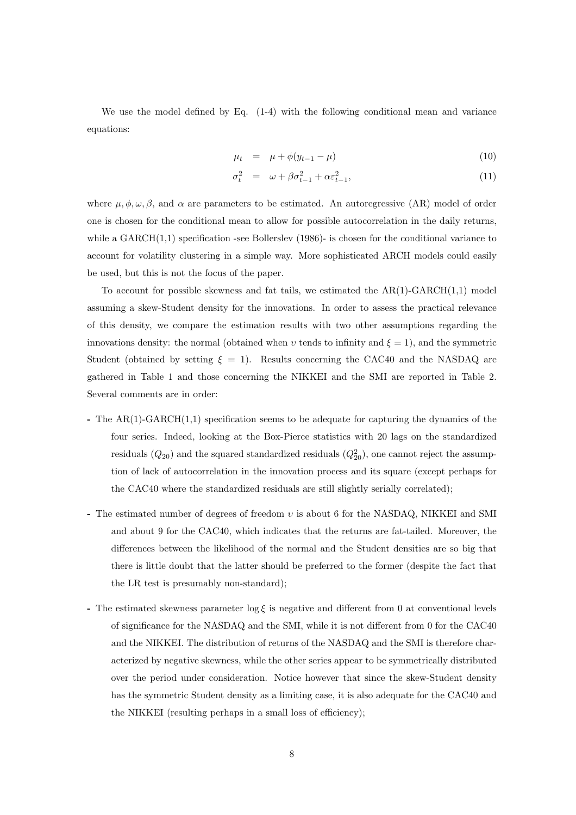We use the model defined by Eq. (1-4) with the following conditional mean and variance equations:

$$
\mu_t = \mu + \phi(y_{t-1} - \mu) \tag{10}
$$

$$
\sigma_t^2 = \omega + \beta \sigma_{t-1}^2 + \alpha \varepsilon_{t-1}^2, \tag{11}
$$

where  $\mu, \phi, \omega, \beta$ , and  $\alpha$  are parameters to be estimated. An autoregressive (AR) model of order one is chosen for the conditional mean to allow for possible autocorrelation in the daily returns, while a  $GARCH(1,1)$  specification -see Bollerslev (1986)- is chosen for the conditional variance to account for volatility clustering in a simple way. More sophisticated ARCH models could easily be used, but this is not the focus of the paper.

To account for possible skewness and fat tails, we estimated the  $AR(1)-GARCH(1,1)$  model assuming a skew-Student density for the innovations. In order to assess the practical relevance of this density, we compare the estimation results with two other assumptions regarding the innovations density: the normal (obtained when v tends to infinity and  $\xi = 1$ ), and the symmetric Student (obtained by setting  $\xi = 1$ ). Results concerning the CAC40 and the NASDAQ are gathered in Table 1and those concerning the NIKKEI and the SMI are reported in Table 2. Several comments are in order:

- **-** The AR(1)-GARCH(1,1) specification seems to be adequate for capturing the dynamics of the four series. Indeed, looking at the Box-Pierce statistics with 20 lags on the standardized residuals  $(Q_{20})$  and the squared standardized residuals  $(Q_{20}^2)$ , one cannot reject the assumption of lack of autocorrelation in the innovation process and its square (except perhaps for the CAC40 where the standardized residuals are still slightly serially correlated);
- **-** The estimated number of degrees of freedom υ is about 6 for the NASDAQ, NIKKEI and SMI and about 9 for the CAC40, which indicates that the returns are fat-tailed. Moreover, the differences between the likelihood of the normal and the Student densities are so big that there is little doubt that the latter should be preferred to the former (despite the fact that the LR test is presumably non-standard);
- **-** The estimated skewness parameter  $\log \xi$  is negative and different from 0 at conventional levels of significance for the NASDAQ and the SMI, while it is not different from 0 for the CAC40 and the NIKKEI. The distribution of returns of the NASDAQ and the SMI is therefore characterized by negative skewness, while the other series appear to be symmetrically distributed over the period under consideration. Notice however that since the skew-Student density has the symmetric Student density as a limiting case, it is also adequate for the CAC40 and the NIKKEI (resulting perhaps in a small loss of efficiency);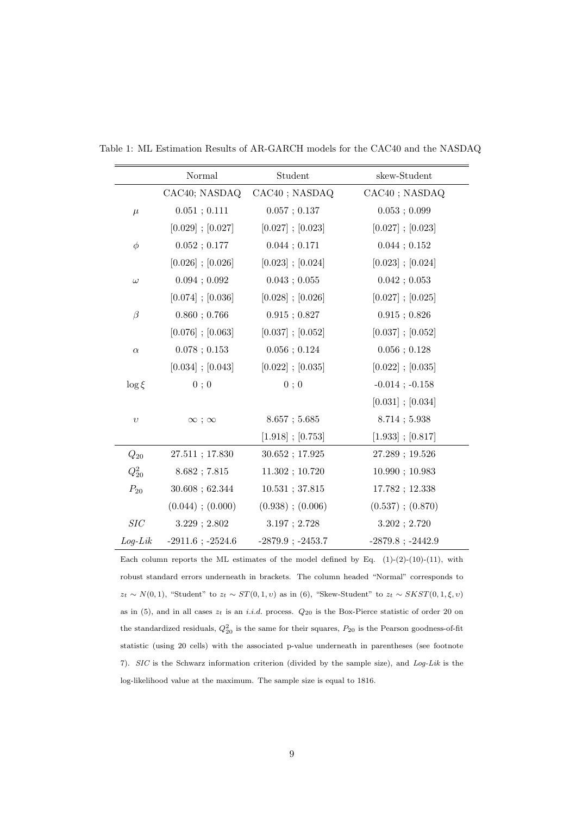|                      | Normal                | Student               | skew-Student          |
|----------------------|-----------------------|-----------------------|-----------------------|
|                      | CAC40; NASDAQ         | CAC40; NASDAQ         | CAC40; NASDAQ         |
| $\mu$                | 0.051; 0.111          | 0.057; 0.137          | 0.053; 0.099          |
|                      | $[0.029]$ ; $[0.027]$ | $[0.027]$ ; $[0.023]$ | $[0.027]$ ; $[0.023]$ |
| $\phi$               | 0.052; 0.177          | 0.044; 0.171          | 0.044; 0.152          |
|                      | $[0.026]$ ; $[0.026]$ | $[0.023]$ ; $[0.024]$ | $[0.023]$ ; $[0.024]$ |
| $\omega$             | 0.094; 0.092          | 0.043; 0.055          | 0.042; 0.053          |
|                      | $[0.074]$ ; $[0.036]$ | $[0.028]$ ; $[0.026]$ | $[0.027]$ ; $[0.025]$ |
| $\beta$              | 0.860; 0.766          | $0.915$ ; $0.827$     | $0.915$ ; $0.826$     |
|                      | $[0.076]$ ; $[0.063]$ | $[0.037]$ ; $[0.052]$ | $[0.037]$ ; $[0.052]$ |
| $\alpha$             | $0.078$ ; $0.153$     | $0.056$ ; $0.124$     | $0.056$ ; $0.128$     |
|                      | $[0.034]$ ; $[0.043]$ | $[0.022]$ ; $[0.035]$ | $[0.022]$ ; $[0.035]$ |
| $\log \xi$           | 0;0                   | 0;0                   | $-0.014$ ; $-0.158$   |
|                      |                       |                       | $[0.031]$ ; $[0.034]$ |
| $\upsilon$           | $\infty$ ; $\infty$   | $8.657$ ; 5.685       | $8.714$ ; 5.938       |
|                      |                       | $[1.918]$ ; $[0.753]$ | $[1.933]$ ; $[0.817]$ |
| $Q_{20}$             | $27.511$ ; $17.830$   | 30.652; 17.925        | 27.289; 19.526        |
| $Q_{20}^2$           | 8.682; 7.815          | 11.302; 10.720        | 10.990; 10.983        |
| $\mathcal{P}_{20}$   | $30.608$ ; 62.344     | $10.531$ ; 37.815     | 17.782; 12.338        |
|                      | $(0.044)$ ; $(0.000)$ | $(0.938)$ ; $(0.006)$ | $(0.537)$ ; $(0.870)$ |
| $\operatorname{SIC}$ | $3.229$ ; $2.802$     | 3.197; 2.728          | $3.202$ ; $2.720$     |
| $Log-Lik$            | $-2911.6$ ; $-2524.6$ | $-2879.9$ ; $-2453.7$ | $-2879.8$ ; $-2442.9$ |

Table 1: ML Estimation Results of AR-GARCH models for the CAC40 and the NASDAQ

Each column reports the ML estimates of the model defined by Eq.  $(1)-(2)-(10)-(11)$ , with robust standard errors underneath in brackets. The column headed "Normal" corresponds to  $z_t \sim N(0, 1)$ , "Student" to  $z_t \sim ST(0, 1, v)$  as in (6), "Skew-Student" to  $z_t \sim SKST(0, 1, \xi, v)$ as in (5), and in all cases  $z_t$  is an *i.i.d.* process.  $Q_{20}$  is the Box-Pierce statistic of order 20 on the standardized residuals,  $Q_{20}^2$  is the same for their squares,  $P_{20}$  is the Pearson goodness-of-fit statistic (using 20 cells) with the associated p-value underneath in parentheses (see footnote 7). SIC is the Schwarz information criterion (divided by the sample size), and Log-Lik is the log-likelihood value at the maximum. The sample size is equal to 1816.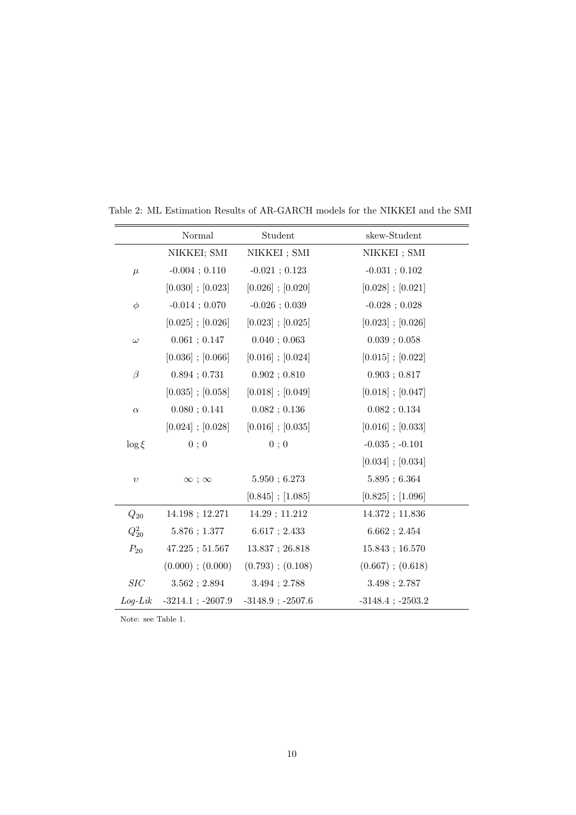|                    | Normal                | Student               | skew-Student                                  |
|--------------------|-----------------------|-----------------------|-----------------------------------------------|
|                    | NIKKEI; SMI           | NIKKEI; SMI           | NIKKEI ; SMI                                  |
| $\mu$              | $-0.004$ ; $0.110$    | $-0.021$ ; 0.123      | $-0.031$ ; $0.102$                            |
|                    | $[0.030]$ ; $[0.023]$ | $[0.026]$ ; $[0.020]$ | $[0.028]$ ; $[0.021]$                         |
| $\phi$             | $-0.014$ ; 0.070      | $-0.026$ ; 0.039      | $-0.028$ ; 0.028                              |
|                    | $[0.025]$ ; $[0.026]$ | $[0.023]$ ; $[0.025]$ | $[0.023]$ ; $[0.026]$                         |
| $\omega$           | 0.061; 0.147          | 0.040; 0.063          | $0.039$ ; $0.058$                             |
|                    | $[0.036]$ ; $[0.066]$ | $[0.016]$ ; $[0.024]$ | $[0.015]$ ; $[0.022]$                         |
| $\beta$            | $0.894$ ; $0.731$     | 0.902; 0.810          | 0.903; 0.817                                  |
|                    | $[0.035]$ ; $[0.058]$ | $[0.018]$ ; $[0.049]$ | $[0.018]$ ; $[0.047]$                         |
| $\alpha$           | 0.080; 0.141          | 0.082; 0.136          | 0.082; 0.134                                  |
|                    | $[0.024]$ ; $[0.028]$ | $[0.016]$ ; $[0.035]$ | $[0.016]$ ; $[0.033]$                         |
| $\log \xi$         | 0;0                   | 0;0                   | $-0.035$ ; $-0.101$                           |
|                    |                       |                       | $[0.034]$ ; $[0.034]$                         |
| $\upsilon$         | $\infty$ ; $\infty$   | 5.950; 6.273          | $5.895 \, ; \, 6.364$                         |
|                    |                       | $[0.845]$ ; $[1.085]$ | $\left[ 0.825\right]$ ; $\left[ 1.096\right]$ |
| $\mathcal{Q}_{20}$ | 14.198; 12.271        | 14.29; 11.212         | 14.372; 11.836                                |
| $Q_{20}^2$         | 5.876; 1.377          | $6.617$ ; 2.433       | 6.662; 2.454                                  |
| $P_{20}$           | $47.225$ ; $51.567$   | $13.837$ ; $26.818$   | 15.843; 16.570                                |
|                    | $(0.000)$ ; $(0.000)$ | $(0.793)$ ; $(0.108)$ | $(0.667)$ ; $(0.618)$                         |
| $SIC$              | 3.562; 2.894          | $3.494$ ; 2.788       | 3.498; 2.787                                  |
| $Log-Lik$          | $-3214.1$ ; $-2607.9$ | $-3148.9$ ; $-2507.6$ | $-3148.4$ ; $-2503.2$                         |

Table 2: ML Estimation Results of AR-GARCH models for the NIKKEI and the SMI

Note: see Table 1.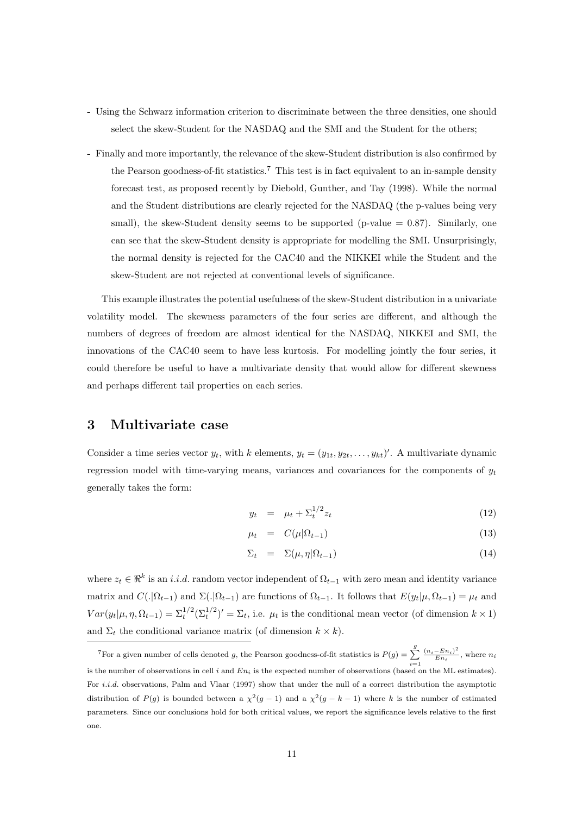- **-** Using the Schwarz information criterion to discriminate between the three densities, one should select the skew-Student for the NASDAQ and the SMI and the Student for the others;
- **-** Finally and more importantly, the relevance of the skew-Student distribution is also confirmed by the Pearson goodness-of-fit statistics.<sup>7</sup> This test is in fact equivalent to an in-sample density forecast test, as proposed recently by Diebold, Gunther, and Tay (1998). While the normal and the Student distributions are clearly rejected for the NASDAQ (the p-values being very small), the skew-Student density seems to be supported (p-value  $= 0.87$ ). Similarly, one can see that the skew-Student density is appropriate for modelling the SMI. Unsurprisingly, the normal density is rejected for the CAC40 and the NIKKEI while the Student and the skew-Student are not rejected at conventional levels of significance.

This example illustrates the potential usefulness of the skew-Student distribution in a univariate volatility model. The skewness parameters of the four series are different, and although the numbers of degrees of freedom are almost identical for the NASDAQ, NIKKEI and SMI, the innovations of the CAC40 seem to have less kurtosis. For modelling jointly the four series, it could therefore be useful to have a multivariate density that would allow for different skewness and perhaps different tail properties on each series.

# **3 Multivariate case**

Consider a time series vector  $y_t$ , with k elements,  $y_t = (y_{1t}, y_{2t}, \ldots, y_{kt})'$ . A multivariate dynamic regression model with time-varying means, variances and covariances for the components of  $y_t$ generally takes the form:

$$
y_t = \mu_t + \Sigma_t^{1/2} z_t \tag{12}
$$

$$
\mu_t = C(\mu|\Omega_{t-1}) \tag{13}
$$

$$
\Sigma_t = \Sigma(\mu, \eta | \Omega_{t-1}) \tag{14}
$$

where  $z_t \in \mathbb{R}^k$  is an *i.i.d.* random vector independent of  $\Omega_{t-1}$  with zero mean and identity variance matrix and  $C(.|\Omega_{t-1})$  and  $\Sigma(.|\Omega_{t-1})$  are functions of  $\Omega_{t-1}$ . It follows that  $E(y_t|\mu, \Omega_{t-1}) = \mu_t$  and  $Var(y_t|\mu, \eta, \Omega_{t-1}) = \sum_t^{1/2} (\sum_t^{1/2})' = \sum_t$ , i.e.  $\mu_t$  is the conditional mean vector (of dimension  $k \times 1$ ) and  $\Sigma_t$  the conditional variance matrix (of dimension  $k \times k$ ).

<sup>&</sup>lt;sup>7</sup>For a given number of cells denoted g, the Pearson goodness-of-fit statistics is  $P(g) = \sum_{i=1}^{g} \frac{(n_i - En_i)^2}{En_i}$ , where  $n_i$ is the number of observations in cell i and  $En_i$  is the expected number of observations (based on the ML estimates). For i.i.d. observations, Palm and Vlaar (1997) show that under the null of a correct distribution the asymptotic distribution of P(g) is bounded between a  $\chi^2(g-1)$  and a  $\chi^2(g-k-1)$  where k is the number of estimated parameters. Since our conclusions hold for both critical values, we report the significance levels relative to the first one.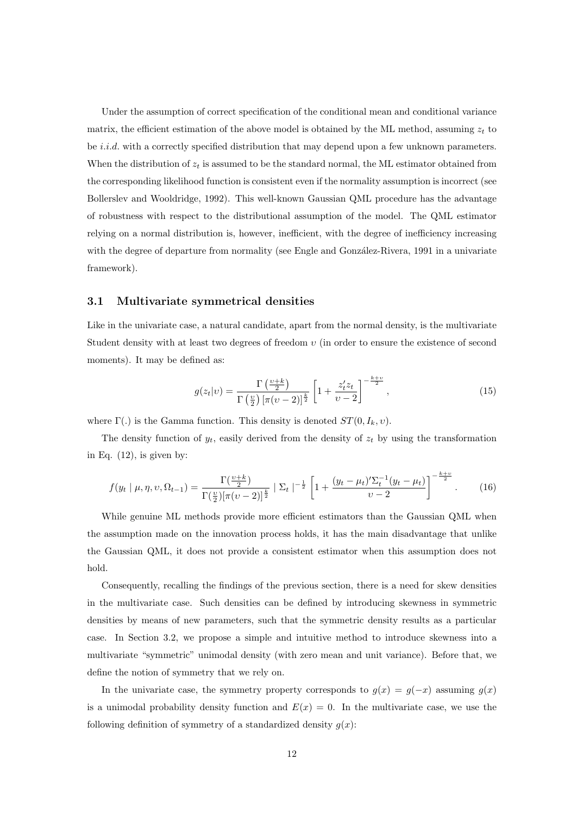Under the assumption of correct specification of the conditional mean and conditional variance matrix, the efficient estimation of the above model is obtained by the ML method, assuming  $z_t$  to be *i.i.d.* with a correctly specified distribution that may depend upon a few unknown parameters. When the distribution of  $z_t$  is assumed to be the standard normal, the ML estimator obtained from the corresponding likelihood function is consistent even if the normality assumption is incorrect (see Bollerslev and Wooldridge, 1992). This well-known Gaussian QML procedure has the advantage of robustness with respect to the distributional assumption of the model. The QML estimator relying on a normal distribution is, however, inefficient, with the degree of inefficiency increasing with the degree of departure from normality (see Engle and González-Rivera, 1991 in a univariate framework).

## **3.1 Multivariate symmetrical densities**

Like in the univariate case, a natural candidate, apart from the normal density, is the multivariate Student density with at least two degrees of freedom  $v$  (in order to ensure the existence of second moments). It may be defined as:

$$
g(z_t|v) = \frac{\Gamma\left(\frac{v+k}{2}\right)}{\Gamma\left(\frac{v}{2}\right)\left[\pi(v-2)\right]^{\frac{k}{2}}}\left[1+\frac{z_t^{\prime}z_t}{v-2}\right]^{-\frac{k+v}{2}},\tag{15}
$$

where  $\Gamma(.)$  is the Gamma function. This density is denoted  $ST(0, I_k, v)$ .

The density function of  $y_t$ , easily derived from the density of  $z_t$  by using the transformation in Eq.  $(12)$ , is given by:

$$
f(y_t \mid \mu, \eta, \upsilon, \Omega_{t-1}) = \frac{\Gamma(\frac{\upsilon + k}{2})}{\Gamma(\frac{\upsilon}{2})[\pi(\upsilon - 2)]^{\frac{k}{2}}} \mid \Sigma_t \mid^{-\frac{1}{2}} \left[1 + \frac{(y_t - \mu_t)' \Sigma_t^{-1} (y_t - \mu_t)}{\upsilon - 2}\right]^{-\frac{k + \upsilon}{2}}.\tag{16}
$$

While genuine ML methods provide more efficient estimators than the Gaussian QML when the assumption made on the innovation process holds, it has the main disadvantage that unlike the Gaussian QML, it does not provide a consistent estimator when this assumption does not hold.

Consequently, recalling the findings of the previous section, there is a need for skew densities in the multivariate case. Such densities can be defined by introducing skewness in symmetric densities by means of new parameters, such that the symmetric density results as a particular case. In Section 3.2, we propose a simple and intuitive method to introduce skewness into a multivariate "symmetric" unimodal density (with zero mean and unit variance). Before that, we define the notion of symmetry that we rely on.

In the univariate case, the symmetry property corresponds to  $g(x) = g(-x)$  assuming  $g(x)$ is a unimodal probability density function and  $E(x) = 0$ . In the multivariate case, we use the following definition of symmetry of a standardized density  $g(x)$ :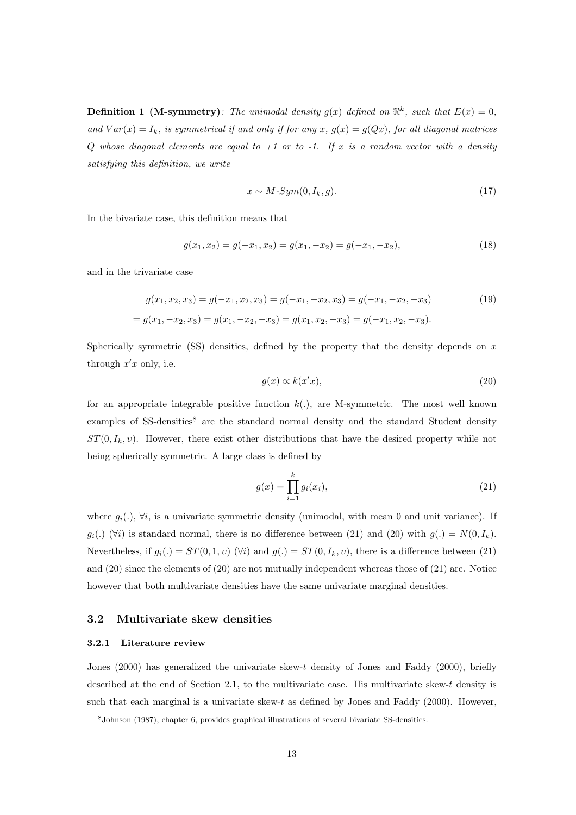**Definition 1 (M-symmetry)**: The unimodal density  $g(x)$  defined on  $\mathbb{R}^k$ , such that  $E(x)=0$ , and  $Var(x) = I_k$ , is symmetrical if and only if for any x,  $g(x) = g(Qx)$ , for all diagonal matrices Q whose diagonal elements are equal to  $+1$  or to  $-1$ . If x is a random vector with a density satisfying this definition, we write

$$
x \sim M\text{-}Sym(0, I_k, g). \tag{17}
$$

In the bivariate case, this definition means that

$$
g(x_1, x_2) = g(-x_1, x_2) = g(x_1, -x_2) = g(-x_1, -x_2),
$$
\n(18)

and in the trivariate case

$$
g(x_1, x_2, x_3) = g(-x_1, x_2, x_3) = g(-x_1, -x_2, x_3) = g(-x_1, -x_2, -x_3)
$$
(19)  
=  $g(x_1, -x_2, x_3) = g(x_1, -x_2, -x_3) = g(x_1, x_2, -x_3) = g(-x_1, x_2, -x_3).$ 

Spherically symmetric  $(SS)$  densities, defined by the property that the density depends on x through  $x'x$  only, i.e.

$$
g(x) \propto k(x'x),\tag{20}
$$

for an appropriate integrable positive function  $k(.)$ , are M-symmetric. The most well known examples of SS-densities<sup>8</sup> are the standard normal density and the standard Student density  $ST(0, I_k, v)$ . However, there exist other distributions that have the desired property while not being spherically symmetric. A large class is defined by

$$
g(x) = \prod_{i=1}^{k} g_i(x_i),
$$
\n(21)

where  $g_i(.)$ ,  $\forall i$ , is a univariate symmetric density (unimodal, with mean 0 and unit variance). If  $g_i(.)$  ( $\forall i$ ) is standard normal, there is no difference between (21) and (20) with  $g(.) = N(0, I_k)$ . Nevertheless, if  $g_i(.) = ST(0, 1, v)$  ( $\forall i$ ) and  $g(.) = ST(0, I_k, v)$ , there is a difference between (21) and (20) since the elements of (20) are not mutually independent whereas those of (21) are. Notice however that both multivariate densities have the same univariate marginal densities.

## **3.2 Multivariate skew densities**

#### **3.2.1 Literature review**

Jones (2000) has generalized the univariate skew-t density of Jones and Faddy (2000), briefly described at the end of Section 2.1, to the multivariate case. His multivariate skew-t density is such that each marginal is a univariate skew- $t$  as defined by Jones and Faddy (2000). However,

<sup>8</sup>Johnson (1987), chapter 6, provides graphical illustrations of several bivariate SS-densities.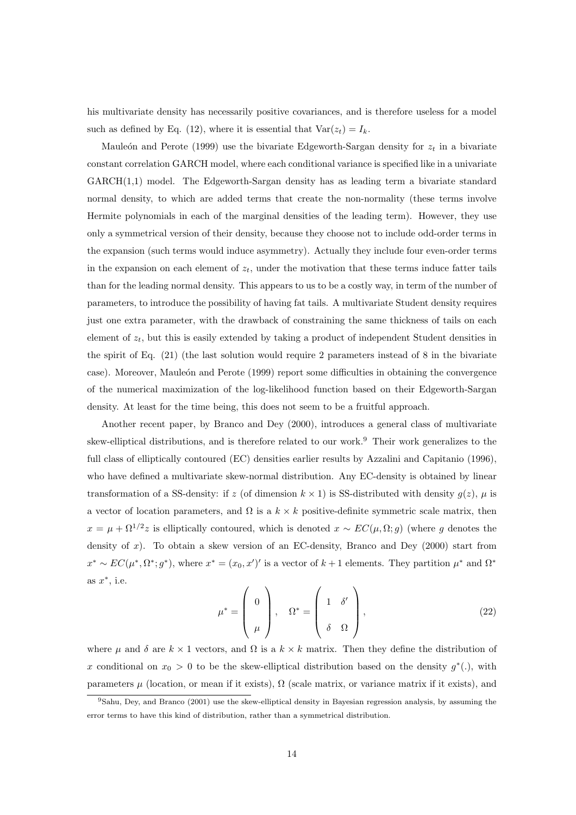his multivariate density has necessarily positive covariances, and is therefore useless for a model such as defined by Eq. (12), where it is essential that  $Var(z_t) = I_k$ .

Mauleón and Perote (1999) use the bivariate Edgeworth-Sargan density for  $z_t$  in a bivariate constant correlation GARCH model, where each conditional variance is specified like in a univariate GARCH(1,1) model. The Edgeworth-Sargan density has as leading term a bivariate standard normal density, to which are added terms that create the non-normality (these terms involve Hermite polynomials in each of the marginal densities of the leading term). However, they use only a symmetrical version of their density, because they choose not to include odd-order terms in the expansion (such terms would induce asymmetry). Actually they include four even-order terms in the expansion on each element of  $z_t$ , under the motivation that these terms induce fatter tails than for the leading normal density. This appears to us to be a costly way, in term of the number of parameters, to introduce the possibility of having fat tails. A multivariate Student density requires just one extra parameter, with the drawback of constraining the same thickness of tails on each element of  $z_t$ , but this is easily extended by taking a product of independent Student densities in the spirit of Eq. (21) (the last solution would require 2 parameters instead of 8 in the bivariate case). Moreover, Mauleón and Perote (1999) report some difficulties in obtaining the convergence of the numerical maximization of the log-likelihood function based on their Edgeworth-Sargan density. At least for the time being, this does not seem to be a fruitful approach.

Another recent paper, by Branco and Dey (2000), introduces a general class of multivariate skew-elliptical distributions, and is therefore related to our work.<sup>9</sup> Their work generalizes to the full class of elliptically contoured (EC) densities earlier results by Azzalini and Capitanio (1996), who have defined a multivariate skew-normal distribution. Any EC-density is obtained by linear transformation of a SS-density: if z (of dimension  $k \times 1$ ) is SS-distributed with density  $g(z)$ ,  $\mu$  is a vector of location parameters, and  $\Omega$  is a  $k \times k$  positive-definite symmetric scale matrix, then  $x = \mu + \Omega^{1/2}z$  is elliptically contoured, which is denoted  $x \sim EC(\mu, \Omega; g)$  (where g denotes the density of  $x$ ). To obtain a skew version of an EC-density, Branco and Dey (2000) start from  $x^* \sim EC(\mu^*, \Omega^*; g^*)$ , where  $x^* = (x_0, x')'$  is a vector of  $k+1$  elements. They partition  $\mu^*$  and  $\Omega^*$ as  $x^*$ , i.e.

$$
\mu^* = \begin{pmatrix} 0 \\ \mu \end{pmatrix}, \quad \Omega^* = \begin{pmatrix} 1 & \delta' \\ \delta & \Omega \end{pmatrix}, \tag{22}
$$

where  $\mu$  and  $\delta$  are  $k \times 1$  vectors, and  $\Omega$  is a  $k \times k$  matrix. Then they define the distribution of x conditional on  $x_0 > 0$  to be the skew-elliptical distribution based on the density  $g^*(.)$ , with parameters  $\mu$  (location, or mean if it exists),  $\Omega$  (scale matrix, or variance matrix if it exists), and

<sup>9</sup>Sahu, Dey, and Branco (2001) use the skew-elliptical density in Bayesian regression analysis, by assuming the error terms to have this kind of distribution, rather than a symmetrical distribution.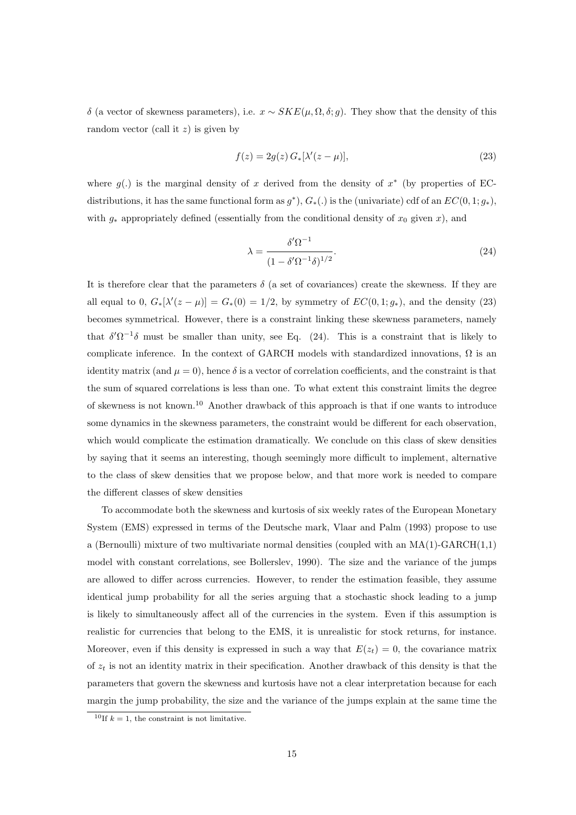δ (a vector of skewness parameters), i.e. x ∼ SKE(µ, Ω, δ; g). They show that the density of this random vector (call it  $z$ ) is given by

$$
f(z) = 2g(z) G_*[\lambda'(z - \mu)],\tag{23}
$$

where  $g(.)$  is the marginal density of x derived from the density of  $x^*$  (by properties of ECdistributions, it has the same functional form as  $g^*$ ),  $G_*(.)$  is the (univariate) cdf of an  $EC(0, 1; g_*)$ , with  $g_*$  appropriately defined (essentially from the conditional density of  $x_0$  given x), and

$$
\lambda = \frac{\delta' \Omega^{-1}}{(1 - \delta' \Omega^{-1} \delta)^{1/2}}.\tag{24}
$$

It is therefore clear that the parameters  $\delta$  (a set of covariances) create the skewness. If they are all equal to 0,  $G_*[\lambda'(z-\mu)] = G_*(0) = 1/2$ , by symmetry of  $EC(0,1;g_*)$ , and the density (23) becomes symmetrical. However, there is a constraint linking these skewness parameters, namely that  $\delta' \Omega^{-1} \delta$  must be smaller than unity, see Eq. (24). This is a constraint that is likely to complicate inference. In the context of GARCH models with standardized innovations,  $\Omega$  is an identity matrix (and  $\mu = 0$ ), hence  $\delta$  is a vector of correlation coefficients, and the constraint is that the sum of squared correlations is less than one. To what extent this constraint limits the degree of skewness is not known.<sup>10</sup> Another drawback of this approach is that if one wants to introduce some dynamics in the skewness parameters, the constraint would be different for each observation, which would complicate the estimation dramatically. We conclude on this class of skew densities by saying that it seems an interesting, though seemingly more difficult to implement, alternative to the class of skew densities that we propose below, and that more work is needed to compare the different classes of skew densities

To accommodate both the skewness and kurtosis of six weekly rates of the European Monetary System (EMS) expressed in terms of the Deutsche mark, Vlaar and Palm (1993) propose to use a (Bernoulli) mixture of two multivariate normal densities (coupled with an  $MA(1)-GARCH(1,1)$ model with constant correlations, see Bollerslev, 1990). The size and the variance of the jumps are allowed to differ across currencies. However, to render the estimation feasible, they assume identical jump probability for all the series arguing that a stochastic shock leading to a jump is likely to simultaneously affect all of the currencies in the system. Even if this assumption is realistic for currencies that belong to the EMS, it is unrealistic for stock returns, for instance. Moreover, even if this density is expressed in such a way that  $E(z_t) = 0$ , the covariance matrix of  $z_t$  is not an identity matrix in their specification. Another drawback of this density is that the parameters that govern the skewness and kurtosis have not a clear interpretation because for each margin the jump probability, the size and the variance of the jumps explain at the same time the

<sup>&</sup>lt;sup>10</sup>If  $k = 1$ , the constraint is not limitative.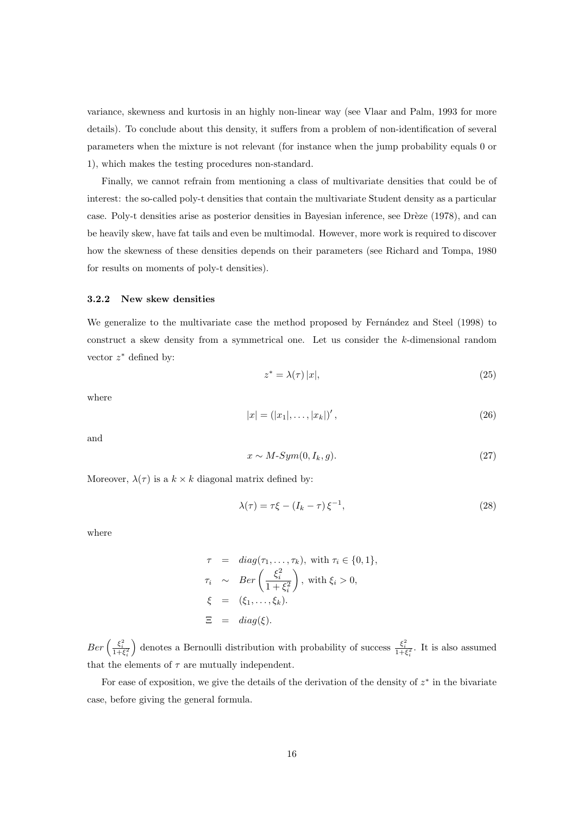variance, skewness and kurtosis in an highly non-linear way (see Vlaar and Palm, 1993 for more details). To conclude about this density, it suffers from a problem of non-identification of several parameters when the mixture is not relevant (for instance when the jump probability equals 0 or 1), which makes the testing procedures non-standard.

Finally, we cannot refrain from mentioning a class of multivariate densities that could be of interest: the so-called poly-t densities that contain the multivariate Student density as a particular case. Poly-t densities arise as posterior densities in Bayesian inference, see Drèze (1978), and can be heavily skew, have fat tails and even be multimodal. However, more work is required to discover how the skewness of these densities depends on their parameters (see Richard and Tompa, 1980 for results on moments of poly-t densities).

#### **3.2.2 New skew densities**

We generalize to the multivariate case the method proposed by Fernández and Steel (1998) to construct a skew density from a symmetrical one. Let us consider the k-dimensional random vector  $z^*$  defined by:

$$
z^* = \lambda(\tau) |x|,\tag{25}
$$

where

$$
|x| = (|x_1|, \dots, |x_k|)', \tag{26}
$$

and

$$
x \sim M\text{-}Sym(0, I_k, g). \tag{27}
$$

Moreover,  $\lambda(\tau)$  is a  $k \times k$  diagonal matrix defined by:

$$
\lambda(\tau) = \tau \xi - (I_k - \tau) \xi^{-1},\tag{28}
$$

where

$$
\tau = diag(\tau_1, ..., \tau_k), \text{ with } \tau_i \in \{0, 1\},
$$
  
\n
$$
\tau_i \sim Ber\left(\frac{\xi_i^2}{1 + \xi_i^2}\right), \text{ with } \xi_i > 0,
$$
  
\n
$$
\xi = (\xi_1, ..., \xi_k).
$$
  
\n
$$
\Xi = diag(\xi).
$$

 $Ber\left(\frac{\xi_i^2}{1+\xi_i^2}\right)$ ) denotes a Bernoulli distribution with probability of success  $\frac{\xi_i^2}{1+\xi_i^2}$ . It is also assumed that the elements of  $\tau$  are mutually independent.

For ease of exposition, we give the details of the derivation of the density of  $z^*$  in the bivariate case, before giving the general formula.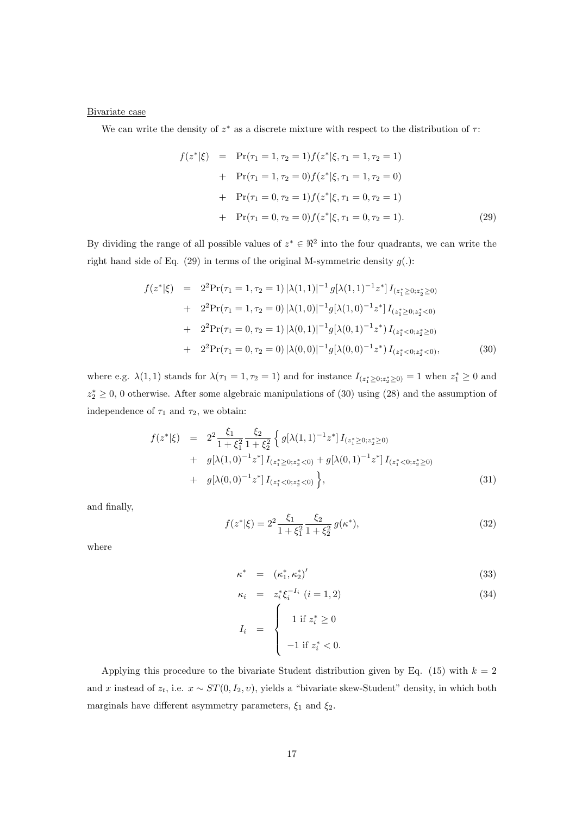## Bivariate case

We can write the density of  $z^*$  as a discrete mixture with respect to the distribution of  $\tau$ :

$$
f(z^*|\xi) = \Pr(\tau_1 = 1, \tau_2 = 1) f(z^*|\xi, \tau_1 = 1, \tau_2 = 1)
$$
  
+ 
$$
\Pr(\tau_1 = 1, \tau_2 = 0) f(z^*|\xi, \tau_1 = 1, \tau_2 = 0)
$$
  
+ 
$$
\Pr(\tau_1 = 0, \tau_2 = 1) f(z^*|\xi, \tau_1 = 0, \tau_2 = 1)
$$
  
+ 
$$
\Pr(\tau_1 = 0, \tau_2 = 0) f(z^*|\xi, \tau_1 = 0, \tau_2 = 1).
$$
 (29)

By dividing the range of all possible values of  $z^* \in \mathbb{R}^2$  into the four quadrants, we can write the right hand side of Eq. (29) in terms of the original M-symmetric density  $g(.)$ :

$$
f(z^*|\xi) = 2^2 \Pr(\tau_1 = 1, \tau_2 = 1) |\lambda(1, 1)|^{-1} g[\lambda(1, 1)^{-1} z^*] I_{(z_1^* \ge 0; z_2^* \ge 0)}
$$
  
+ 
$$
2^2 \Pr(\tau_1 = 1, \tau_2 = 0) |\lambda(1, 0)|^{-1} g[\lambda(1, 0)^{-1} z^*] I_{(z_1^* \ge 0; z_2^* < 0)}
$$
  
+ 
$$
2^2 \Pr(\tau_1 = 0, \tau_2 = 1) |\lambda(0, 1)|^{-1} g[\lambda(0, 1)^{-1} z^*) I_{(z_1^* < 0; z_2^* \ge 0)}
$$
  
+ 
$$
2^2 \Pr(\tau_1 = 0, \tau_2 = 0) |\lambda(0, 0)|^{-1} g[\lambda(0, 0)^{-1} z^*) I_{(z_1^* < 0; z_2^* < 0)},
$$
 (30)

where e.g.  $\lambda(1,1)$  stands for  $\lambda(\tau_1=1,\tau_2=1)$  and for instance  $I_{(z_1^*\geq 0;z_2^*\geq 0)}=1$  when  $z_1^*\geq 0$  and  $z_2^* \geq 0$ , 0 otherwise. After some algebraic manipulations of (30) using (28) and the assumption of independence of  $\tau_1$  and  $\tau_2$ , we obtain:

$$
f(z^*|\xi) = 2^2 \frac{\xi_1}{1 + \xi_1^2} \frac{\xi_2}{1 + \xi_2^2} \left\{ g[\lambda(1,1)^{-1}z^*] I_{(z_1^* \ge 0; z_2^* \ge 0)} + g[\lambda(1,0)^{-1}z^*] I_{(z_1^* \ge 0; z_2^* < 0)} + g[\lambda(0,1)^{-1}z^*] I_{(z_1^* < 0; z_2^* \ge 0)} + g[\lambda(0,0)^{-1}z^*] I_{(z_1^* < 0; z_2^* < 0)} \right\},
$$
\n(31)

and finally,

$$
f(z^*|\xi) = 2^2 \frac{\xi_1}{1 + \xi_1^2} \frac{\xi_2}{1 + \xi_2^2} g(\kappa^*),
$$
\n(32)

where

$$
\kappa^* = (\kappa_1^*, \kappa_2^*)' \tag{33}
$$

$$
\kappa_i = z_i^* \xi_i^{-I_i} \ (i = 1, 2) \tag{34}
$$

$$
I_i = \begin{cases} 1 & \text{if } z_i^* \ge 0 \\ -1 & \text{if } z_i^* < 0. \end{cases}
$$

Applying this procedure to the bivariate Student distribution given by Eq. (15) with  $k = 2$ and x instead of  $z_t$ , i.e.  $x \sim ST(0, I_2, v)$ , yields a "bivariate skew-Student" density, in which both marginals have different asymmetry parameters,  $\xi_1$  and  $\xi_2$ .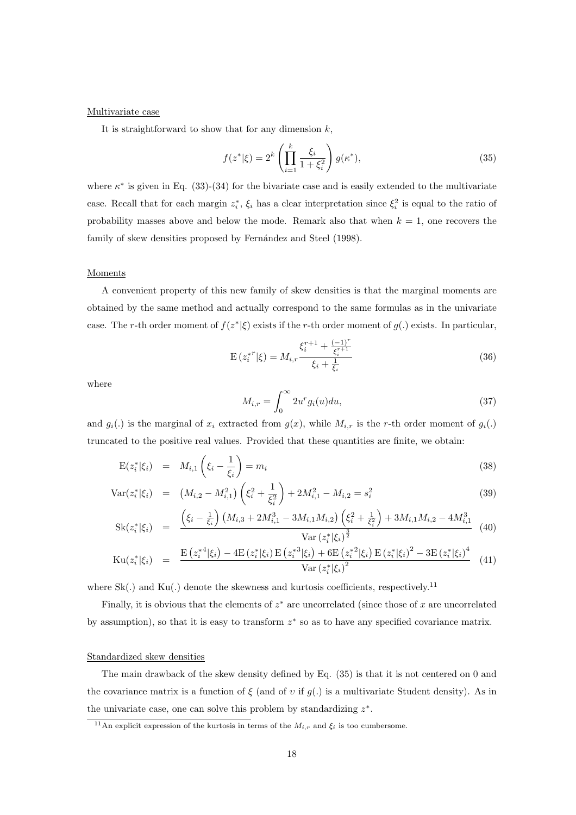#### Multivariate case

It is straightforward to show that for any dimension  $k$ ,

$$
f(z^*|\xi) = 2^k \left(\prod_{i=1}^k \frac{\xi_i}{1 + \xi_i^2}\right) g(\kappa^*),\tag{35}
$$

where  $\kappa^*$  is given in Eq. (33)-(34) for the bivariate case and is easily extended to the multivariate case. Recall that for each margin  $z_i^*, \xi_i$  has a clear interpretation since  $\xi_i^2$  is equal to the ratio of probability masses above and below the mode. Remark also that when  $k = 1$ , one recovers the family of skew densities proposed by Fernández and Steel (1998).

#### **Moments**

A convenient property of this new family of skew densities is that the marginal moments are obtained by the same method and actually correspond to the same formulas as in the univariate case. The r-th order moment of  $f(z^*|\xi)$  exists if the r-th order moment of  $q(.)$  exists. In particular,

$$
E(z_i^{*r}|\xi) = M_{i,r} \frac{\xi_i^{r+1} + \frac{(-1)^r}{\xi_i^{r+1}}}{\xi_i + \frac{1}{\xi_i}}
$$
(36)

where

$$
M_{i,r} = \int_0^\infty 2u^r g_i(u) du,\tag{37}
$$

and  $g_i(.)$  is the marginal of  $x_i$  extracted from  $g(x)$ , while  $M_{i,r}$  is the r-th order moment of  $g_i(.)$ truncated to the positive real values. Provided that these quantities are finite, we obtain:

$$
E(z_i^*|\xi_i) = M_{i,1}\left(\xi_i - \frac{1}{\xi_i}\right) = m_i
$$
\n(38)

$$
\text{Var}(z_i^*|\xi_i) = (M_{i,2} - M_{i,1}^2) \left(\xi_i^2 + \frac{1}{\xi_i^2}\right) + 2M_{i,1}^2 - M_{i,2} = s_i^2 \tag{39}
$$

$$
Sk(z_i^*|\xi_i) = \frac{\left(\xi_i - \frac{1}{\xi_i}\right) \left(M_{i,3} + 2M_{i,1}^3 - 3M_{i,1}M_{i,2}\right) \left(\xi_i^2 + \frac{1}{\xi_i^2}\right) + 3M_{i,1}M_{i,2} - 4M_{i,1}^3}{Var(z_i^*|\xi_i)^{\frac{3}{2}}}
$$
(40)

$$
\mathrm{Ku}(z_i^*|\xi_i) = \frac{\mathrm{E}\left(z_i^{*4}|\xi_i\right) - 4\mathrm{E}\left(z_i^*|\xi_i\right)\mathrm{E}\left(z_i^{*3}|\xi_i\right) + 6\mathrm{E}\left(z_i^*|\xi_i\right)\mathrm{E}\left(z_i^*|\xi_i\right)^2 - 3\mathrm{E}\left(z_i^*|\xi_i\right)^4}{\mathrm{Var}\left(z_i^*|\xi_i\right)^2} \tag{41}
$$

where  $Sk(.)$  and  $Ku(.)$  denote the skewness and kurtosis coefficients, respectively.<sup>11</sup>

Finally, it is obvious that the elements of  $z^*$  are uncorrelated (since those of x are uncorrelated by assumption), so that it is easy to transform z<sup>∗</sup> so as to have any specified covariance matrix.

#### Standardized skew densities

The main drawback of the skew density defined by Eq. (35) is that it is not centered on 0 and the covariance matrix is a function of  $\xi$  (and of v if  $g(.)$  is a multivariate Student density). As in the univariate case, one can solve this problem by standardizing  $z^*$ .

<sup>&</sup>lt;sup>11</sup>An explicit expression of the kurtosis in terms of the  $M_{i,r}$  and  $\xi_i$  is too cumbersome.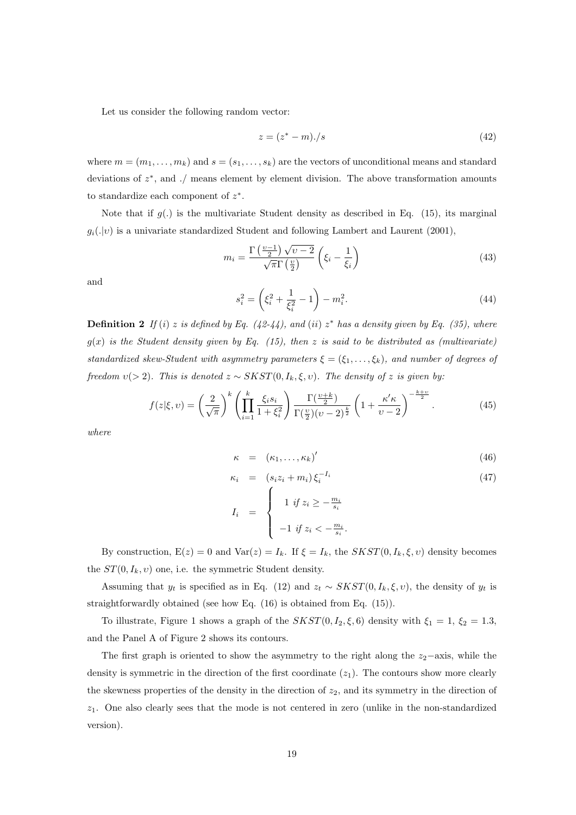Let us consider the following random vector:

$$
z = (z^* - m) \cdot /s \tag{42}
$$

where  $m = (m_1, \ldots, m_k)$  and  $s = (s_1, \ldots, s_k)$  are the vectors of unconditional means and standard deviations of  $z^*$ , and ./ means element by element division. The above transformation amounts to standardize each component of  $z^*$ .

Note that if  $g(.)$  is the multivariate Student density as described in Eq. (15), its marginal  $g_i(\cdot|\nu)$  is a univariate standardized Student and following Lambert and Laurent (2001),

$$
m_i = \frac{\Gamma\left(\frac{\nu-1}{2}\right)\sqrt{\nu-2}}{\sqrt{\pi}\Gamma\left(\frac{\nu}{2}\right)} \left(\xi_i - \frac{1}{\xi_i}\right) \tag{43}
$$

and

$$
s_i^2 = \left(\xi_i^2 + \frac{1}{\xi_i^2} - 1\right) - m_i^2.
$$
\n(44)

**Definition 2** If (i) z is defined by Eq.  $(42-44)$ , and (ii)  $z^*$  has a density given by Eq. (35), where  $g(x)$  is the Student density given by Eq. (15), then z is said to be distributed as (multivariate) standardized skew-Student with asymmetry parameters  $\xi = (\xi_1, \ldots, \xi_k)$ , and number of degrees of freedom  $v(> 2)$ . This is denoted  $z \sim SKST(0, I_k, \xi, v)$ . The density of z is given by:

$$
f(z|\xi, v) = \left(\frac{2}{\sqrt{\pi}}\right)^k \left(\prod_{i=1}^k \frac{\xi_i s_i}{1 + \xi_i^2}\right) \frac{\Gamma(\frac{v+k}{2})}{\Gamma(\frac{v}{2})(v-2)^{\frac{k}{2}}} \left(1 + \frac{\kappa'\kappa}{v-2}\right)^{-\frac{k+v}{2}}.
$$
 (45)

where

$$
\kappa = (\kappa_1, \ldots, \kappa_k)'
$$
\n(46)

$$
\kappa_i = (s_i z_i + m_i) \xi_i^{-I_i} \tag{47}
$$

$$
I_i = \begin{cases} 1 & \text{if } z_i \geq -\frac{m_i}{s_i} \\ -1 & \text{if } z_i < -\frac{m_i}{s_i}. \end{cases}
$$

By construction,  $E(z) = 0$  and  $Var(z) = I_k$ . If  $\xi = I_k$ , the  $SKST(0, I_k, \xi, v)$  density becomes the  $ST(0, I_k, v)$  one, i.e. the symmetric Student density.

Assuming that  $y_t$  is specified as in Eq. (12) and  $z_t \sim SKST(0, I_k, \xi, v)$ , the density of  $y_t$  is straightforwardly obtained (see how Eq. (16) is obtained from Eq. (15)).

To illustrate, Figure 1 shows a graph of the  $SKST(0, I_2, \xi, 6)$  density with  $\xi_1 = 1$ ,  $\xi_2 = 1.3$ , and the Panel A of Figure 2 shows its contours.

The first graph is oriented to show the asymmetry to the right along the  $z_2$ −axis, while the density is symmetric in the direction of the first coordinate  $(z_1)$ . The contours show more clearly the skewness properties of the density in the direction of  $z_2$ , and its symmetry in the direction of  $z_1$ . One also clearly sees that the mode is not centered in zero (unlike in the non-standardized version).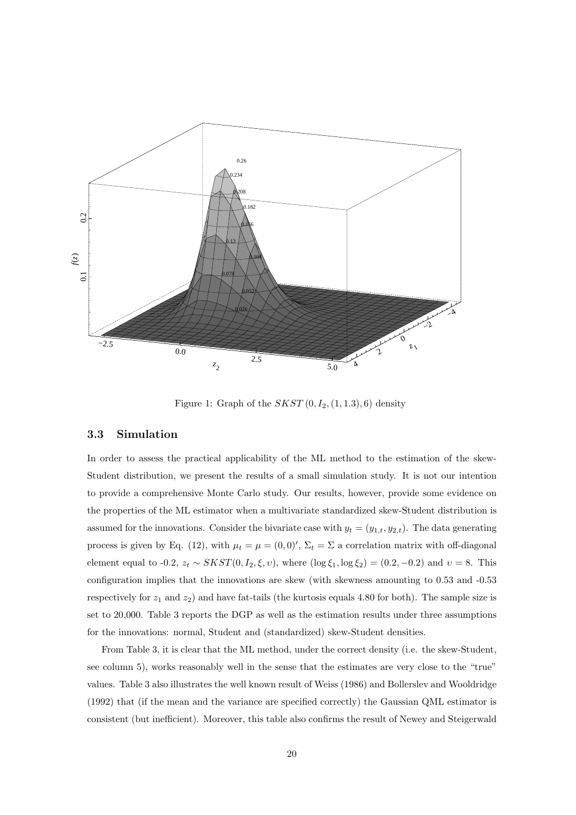

Figure 1: Graph of the  $SKST(0, I_2, (1, 1.3), 6)$  density

#### **3.3 Simulation**

In order to assess the practical applicability of the ML method to the estimation of the skew-Student distribution, we present the results of a small simulation study. It is not our intention to provide a comprehensive Monte Carlo study. Our results, however, provide some evidence on the properties of the ML estimator when a multivariate standardized skew-Student distribution is assumed for the innovations. Consider the bivariate case with  $y_t = (y_{1,t}, y_{2,t})$ . The data generating process is given by Eq. (12), with  $\mu_t = \mu = (0,0)'$ ,  $\Sigma_t = \Sigma$  a correlation matrix with off-diagonal element equal to -0.2,  $z_t \sim SKST(0, I_2, \xi, v)$ , where  $(\log \xi_1, \log \xi_2) = (0.2, -0.2)$  and  $v = 8$ . This configuration implies that the innovations are skew (with skewness amounting to 0.53 and -0.53 respectively for  $z_1$  and  $z_2$ ) and have fat-tails (the kurtosis equals 4.80 for both). The sample size is set to 20,000. Table 3 reports the DGP as well as the estimation results under three assumptions for the innovations: normal, Student and (standardized) skew-Student densities.

From Table 3, it is clear that the ML method, under the correct density (i.e. the skew-Student, see column 5), works reasonably well in the sense that the estimates are very close to the "true" values. Table 3 also illustrates the well known result of Weiss (1986) and Bollerslev and Wooldridge (1992) that (if the mean and the variance are specified correctly) the Gaussian QML estimator is consistent (but inefficient). Moreover, this table also confirms the result of Newey and Steigerwald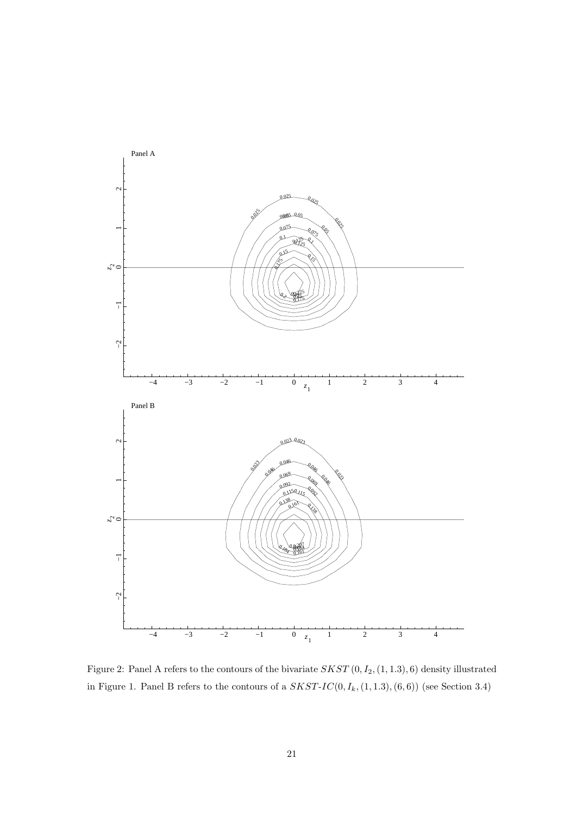

Figure 2: Panel A refers to the contours of the bivariate  $SKST(0, I_2, (1, 1.3), 6)$  density illustrated in Figure 1. Panel B refers to the contours of a  $SKST-IC(0, I_k,(1, 1.3), (6, 6))$  (see Section 3.4)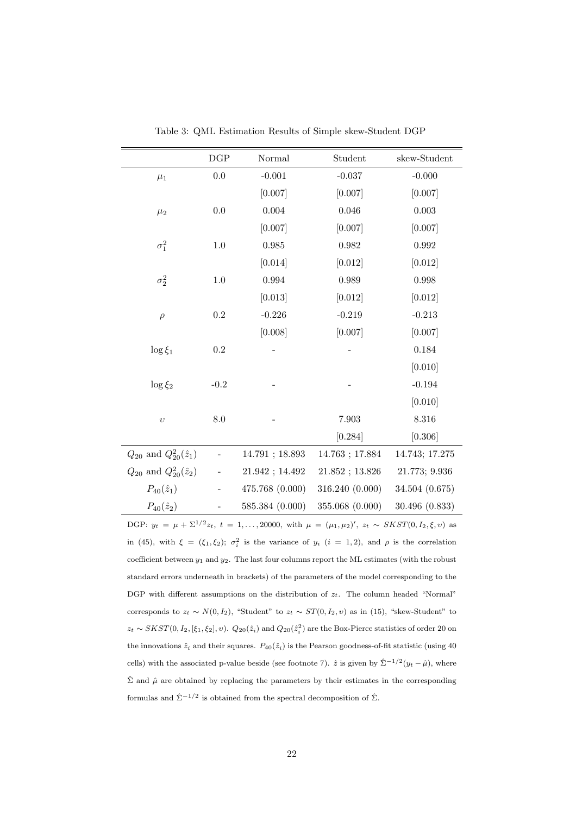|                                    | $_{\rm DGP}$ | Normal<br>Student |                 | skew-Student   |  |
|------------------------------------|--------------|-------------------|-----------------|----------------|--|
| $\mu_1$                            | $0.0\,$      | $-0.001$          | $-0.037$        | $-0.000$       |  |
|                                    |              | [0.007]           | [0.007]         | [0.007]        |  |
| $\mu_2$                            | $0.0\,$      | 0.004             | $0.046\,$       | 0.003          |  |
|                                    |              | [0.007]           | [0.007]         | [0.007]        |  |
| $\sigma_1^2$                       | 1.0          | 0.985             | 0.982           | 0.992          |  |
|                                    |              | [0.014]           | [0.012]         | [0.012]        |  |
| $\sigma_2^2$                       | 1.0          | 0.994             | 0.989           | 0.998          |  |
|                                    |              | [0.013]           | [0.012]         | [0.012]        |  |
| $\rho$                             | $\rm 0.2$    | $-0.226$          | $-0.219$        | $-0.213$       |  |
|                                    |              | [0.008]           | [0.007]         | [0.007]        |  |
| $\log \xi_1$                       | 0.2          |                   |                 | 0.184          |  |
|                                    |              |                   |                 | [0.010]        |  |
| $\log \xi_2$                       | $-0.2$       |                   |                 | $-0.194$       |  |
|                                    |              |                   |                 | [0.010]        |  |
| $\upsilon$                         | 8.0          |                   | $7.903\,$       | 8.316          |  |
|                                    |              |                   | [0.284]         | [0.306]        |  |
| $Q_{20}$ and $Q_{20}^2(\hat{z}_1)$ |              | 14.791; 18.893    | 14.763; 17.884  | 14.743; 17.275 |  |
| $Q_{20}$ and $Q_{20}^2(\hat{z}_2)$ |              | 21.942; 14.492    | 21.852; 13.826  | 21.773; 9.936  |  |
| $P_{40}(\hat{z}_1)$                |              | 475.768 (0.000)   | 316.240 (0.000) | 34.504 (0.675) |  |
| $P_{40}(\hat{z}_2)$                |              | 585.384 (0.000)   | 355.068 (0.000) | 30.496 (0.833) |  |

Table 3: QML Estimation Results of Simple skew-Student DGP

DGP:  $y_t = \mu + \Sigma^{1/2} z_t$ ,  $t = 1, ..., 20000$ , with  $\mu = (\mu_1, \mu_2)'$ ,  $z_t \sim SKST(0, I_2, \xi, v)$  as in (45), with  $\xi = (\xi_1, \xi_2)$ ;  $\sigma_i^2$  is the variance of  $y_i$  ( $i = 1, 2$ ), and  $\rho$  is the correlation coefficient between  $y_1$  and  $y_2$ . The last four columns report the ML estimates (with the robust standard errors underneath in brackets) of the parameters of the model corresponding to the DGP with different assumptions on the distribution of  $z_t$ . The column headed "Normal" corresponds to  $z_t \sim N(0, I_2)$ , "Student" to  $z_t \sim ST(0, I_2, v)$  as in (15), "skew-Student" to  $z_t \sim SKST(0, I_2, [\xi_1, \xi_2], v)$ .  $Q_{20}(\hat{z}_i)$  and  $Q_{20}(\hat{z}_i^2)$  are the Box-Pierce statistics of order 20 on the innovations  $\hat{z}_i$  and their squares.  $P_{40}(\hat{z}_i)$  is the Pearson goodness-of-fit statistic (using 40 cells) with the associated p-value beside (see footnote 7).  $\hat{z}$  is given by  $\hat{\Sigma}^{-1/2}(y_t - \hat{\mu})$ , where  $\hat{\Sigma}$  and  $\hat{\mu}$  are obtained by replacing the parameters by their estimates in the corresponding formulas and  $\hat{\Sigma}^{-1/2}$  is obtained from the spectral decomposition of  $\hat{\Sigma}$ .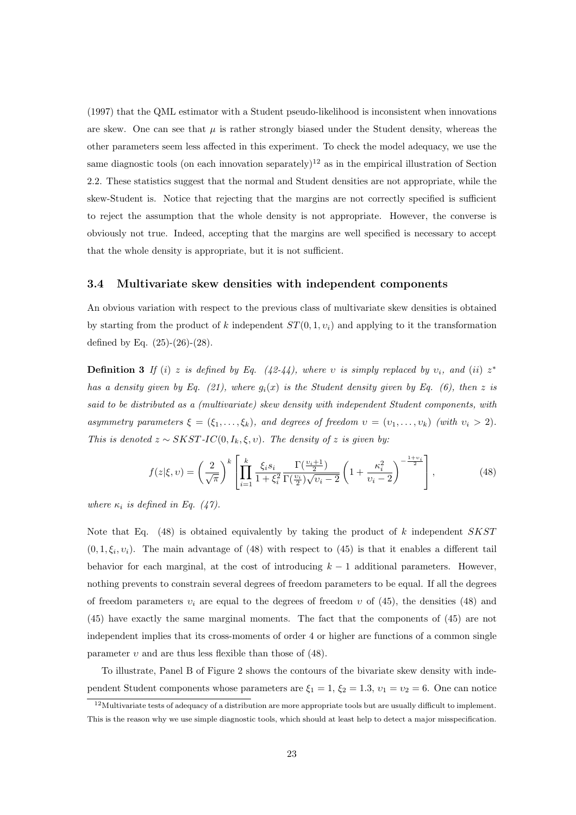(1997) that the QML estimator with a Student pseudo-likelihood is inconsistent when innovations are skew. One can see that  $\mu$  is rather strongly biased under the Student density, whereas the other parameters seem less affected in this experiment. To check the model adequacy, we use the same diagnostic tools (on each innovation separately)<sup>12</sup> as in the empirical illustration of Section 2.2. These statistics suggest that the normal and Student densities are not appropriate, while the skew-Student is. Notice that rejecting that the margins are not correctly specified is sufficient to reject the assumption that the whole density is not appropriate. However, the converse is obviously not true. Indeed, accepting that the margins are well specified is necessary to accept that the whole density is appropriate, but it is not sufficient.

## **3.4 Multivariate skew densities with independent components**

An obvious variation with respect to the previous class of multivariate skew densities is obtained by starting from the product of k independent  $ST(0, 1, v_i)$  and applying to it the transformation defined by Eq. (25)-(26)-(28).

**Definition 3** If (i) z is defined by Eq. (42-44), where v is simply replaced by  $v_i$ , and (ii)  $z^*$ has a density given by Eq. (21), where  $g_i(x)$  is the Student density given by Eq. (6), then z is said to be distributed as a (multivariate) skew density with independent Student components, with asymmetry parameters  $\xi = (\xi_1, \ldots, \xi_k)$ , and degrees of freedom  $v = (v_1, \ldots, v_k)$  (with  $v_i > 2$ ). This is denoted  $z \sim SKST-IC(0, I_k, \xi, v)$ . The density of z is given by:

$$
f(z|\xi,\upsilon) = \left(\frac{2}{\sqrt{\pi}}\right)^k \left[ \prod_{i=1}^k \frac{\xi_i s_i}{1 + \xi_i^2} \frac{\Gamma(\frac{\upsilon_i + 1}{2})}{\Gamma(\frac{\upsilon_i}{2})\sqrt{\upsilon_i - 2}} \left(1 + \frac{\kappa_i^2}{\upsilon_i - 2}\right)^{-\frac{1 + \upsilon_i}{2}} \right],\tag{48}
$$

where  $\kappa_i$  is defined in Eq. (47).

Note that Eq.  $(48)$  is obtained equivalently by taking the product of k independent SKST  $(0, 1, \xi_i, v_i)$ . The main advantage of (48) with respect to (45) is that it enables a different tail behavior for each marginal, at the cost of introducing  $k - 1$  additional parameters. However, nothing prevents to constrain several degrees of freedom parameters to be equal. If all the degrees of freedom parameters  $v_i$  are equal to the degrees of freedom v of (45), the densities (48) and (45) have exactly the same marginal moments. The fact that the components of (45) are not independent implies that its cross-moments of order 4 or higher are functions of a common single parameter  $v$  and are thus less flexible than those of (48).

To illustrate, Panel B of Figure 2 shows the contours of the bivariate skew density with independent Student components whose parameters are  $\xi_1 = 1, \xi_2 = 1.3, \nu_1 = \nu_2 = 6$ . One can notice

<sup>&</sup>lt;sup>12</sup>Multivariate tests of adequacy of a distribution are more appropriate tools but are usually difficult to implement. This is the reason why we use simple diagnostic tools, which should at least help to detect a major misspecification.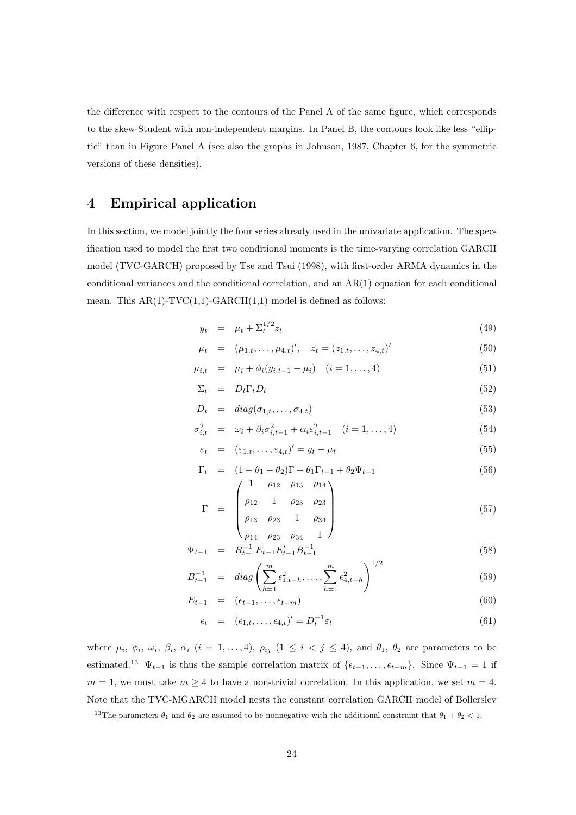the difference with respect to the contours of the Panel A of the same figure, which corresponds to the skew-Student with non-independent margins. In Panel B, the contours look like less "elliptic" than in Figure Panel A (see also the graphs in Johnson, 1987, Chapter 6, for the symmetric versions of these densities).

# **4 Empirical application**

In this section, we model jointly the four series already used in the univariate application. The specification used to model the first two conditional moments is the time-varying correlation GARCH model (TVC-GARCH) proposed by Tse and Tsui (1998), with first-order ARMA dynamics in the conditional variances and the conditional correlation, and an AR(1) equation for each conditional mean. This  $AR(1)-TVC(1,1)-GARCH(1,1)$  model is defined as follows:

$$
y_t = \mu_t + \Sigma_t^{1/2} z_t \tag{49}
$$

$$
\mu_t = (\mu_{1,t}, \dots, \mu_{4,t})', \quad z_t = (z_{1,t}, \dots, z_{4,t})'
$$
\n(50)

$$
\mu_{i,t} = \mu_i + \phi_i(y_{i,t-1} - \mu_i) \quad (i = 1, ..., 4)
$$
\n(51)

$$
\Sigma_t = D_t \Gamma_t D_t \tag{52}
$$

$$
D_t = diag(\sigma_{1,t}, \dots, \sigma_{4,t})
$$
\n(53)

$$
\sigma_{i,t}^2 = \omega_i + \beta_i \sigma_{i,t-1}^2 + \alpha_i \varepsilon_{i,t-1}^2 \quad (i = 1, ..., 4)
$$
 (54)

$$
\varepsilon_t = (\varepsilon_{1,t}, \dots, \varepsilon_{4,t})' = y_t - \mu_t \tag{55}
$$

$$
\Gamma_t = (1 - \theta_1 - \theta_2)\Gamma + \theta_1 \Gamma_{t-1} + \theta_2 \Psi_{t-1} \n\begin{pmatrix} 1 & \rho_{12} & \rho_{13} & \rho_{14} \end{pmatrix}
$$
\n(56)

$$
\Gamma = \begin{bmatrix} \rho_{12} & 1 & \rho_{23} & \rho_{23} \\ \rho_{13} & \rho_{23} & 1 & \rho_{34} \\ \rho_{14} & \rho_{32} & \rho_{34} & 1 \end{bmatrix}
$$
 (57)

$$
\Psi_{t-1} = B_{t-1}^{-1} E_{t-1} E_{t-1}' B_{t-1}^{-1}
$$
\n
$$
(58)
$$
\n
$$
\Psi_{t-1} = B_{t-1}^{-1} E_{t-1} E_{t-1}' B_{t-1}^{-1}
$$

$$
B_{t-1}^{-1} = diag\left(\sum_{h=1}^{m} \epsilon_{1,t-h}^{2}, \dots, \sum_{h=1}^{m} \epsilon_{4,t-h}^{2}\right)^{1/2}
$$
\n(59)

$$
E_{t-1} = (\epsilon_{t-1}, \dots, \epsilon_{t-m}) \tag{60}
$$

$$
\epsilon_t = (\epsilon_{1,t}, \dots, \epsilon_{4,t})' = D_t^{-1} \varepsilon_t \tag{61}
$$

where  $\mu_i$ ,  $\phi_i$ ,  $\omega_i$ ,  $\beta_i$ ,  $\alpha_i$  (i = 1,..., 4),  $\rho_{ij}$  (1  $\leq i < j \leq 4$ ), and  $\theta_1$ ,  $\theta_2$  are parameters to be estimated.<sup>13</sup>  $\Psi_{t-1}$  is thus the sample correlation matrix of  $\{\epsilon_{t-1},\ldots,\epsilon_{t-m}\}$ . Since  $\Psi_{t-1} = 1$  if  $m = 1$ , we must take  $m \geq 4$  to have a non-trivial correlation. In this application, we set  $m = 4$ . Note that the TVC-MGARCH model nests the constant correlation GARCH model of Bollerslev

<sup>&</sup>lt;sup>13</sup>The parameters  $\theta_1$  and  $\theta_2$  are assumed to be nonnegative with the additional constraint that  $\theta_1 + \theta_2 < 1$ .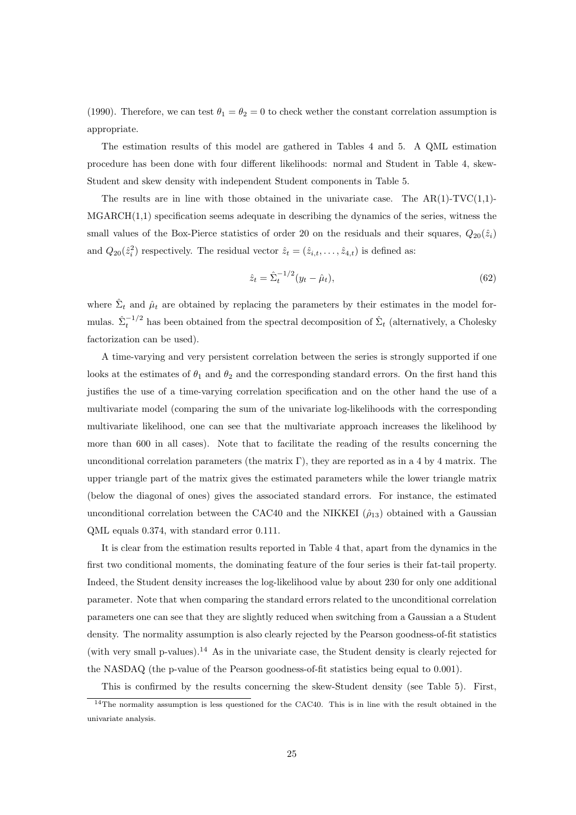(1990). Therefore, we can test  $\theta_1 = \theta_2 = 0$  to check wether the constant correlation assumption is appropriate.

The estimation results of this model are gathered in Tables 4 and 5. A QML estimation procedure has been done with four different likelihoods: normal and Student in Table 4, skew-Student and skew density with independent Student components in Table 5.

The results are in line with those obtained in the univariate case. The  $AR(1)-TVC(1,1)-$ MGARCH(1,1) specification seems adequate in describing the dynamics of the series, witness the small values of the Box-Pierce statistics of order 20 on the residuals and their squares,  $Q_{20}(\hat{z}_i)$ and  $Q_{20}(\hat{z}_i^2)$  respectively. The residual vector  $\hat{z}_t = (\hat{z}_{i,t}, \dots, \hat{z}_{4,t})$  is defined as:

$$
\hat{z}_t = \hat{\Sigma}_t^{-1/2} (y_t - \hat{\mu}_t), \tag{62}
$$

where  $\hat{\Sigma}_t$  and  $\hat{\mu}_t$  are obtained by replacing the parameters by their estimates in the model formulas.  $\hat{\Sigma}_t^{-1/2}$  has been obtained from the spectral decomposition of  $\hat{\Sigma}_t$  (alternatively, a Cholesky factorization can be used).

A time-varying and very persistent correlation between the series is strongly supported if one looks at the estimates of  $\theta_1$  and  $\theta_2$  and the corresponding standard errors. On the first hand this justifies the use of a time-varying correlation specification and on the other hand the use of a multivariate model (comparing the sum of the univariate log-likelihoods with the corresponding multivariate likelihood, one can see that the multivariate approach increases the likelihood by more than 600 in all cases). Note that to facilitate the reading of the results concerning the unconditional correlation parameters (the matrix Γ), they are reported as in a 4 by 4 matrix. The upper triangle part of the matrix gives the estimated parameters while the lower triangle matrix (below the diagonal of ones) gives the associated standard errors. For instance, the estimated unconditional correlation between the CAC40 and the NIKKEI  $(\hat{\rho}_{13})$  obtained with a Gaussian QML equals 0.374, with standard error 0.111.

It is clear from the estimation results reported in Table 4 that, apart from the dynamics in the first two conditional moments, the dominating feature of the four series is their fat-tail property. Indeed, the Student density increases the log-likelihood value by about 230 for only one additional parameter. Note that when comparing the standard errors related to the unconditional correlation parameters one can see that they are slightly reduced when switching from a Gaussian a a Student density. The normality assumption is also clearly rejected by the Pearson goodness-of-fit statistics (with very small p-values).<sup>14</sup> As in the univariate case, the Student density is clearly rejected for the NASDAQ (the p-value of the Pearson goodness-of-fit statistics being equal to 0.001).

This is confirmed by the results concerning the skew-Student density (see Table 5). First,

<sup>&</sup>lt;sup>14</sup>The normality assumption is less questioned for the CAC40. This is in line with the result obtained in the univariate analysis.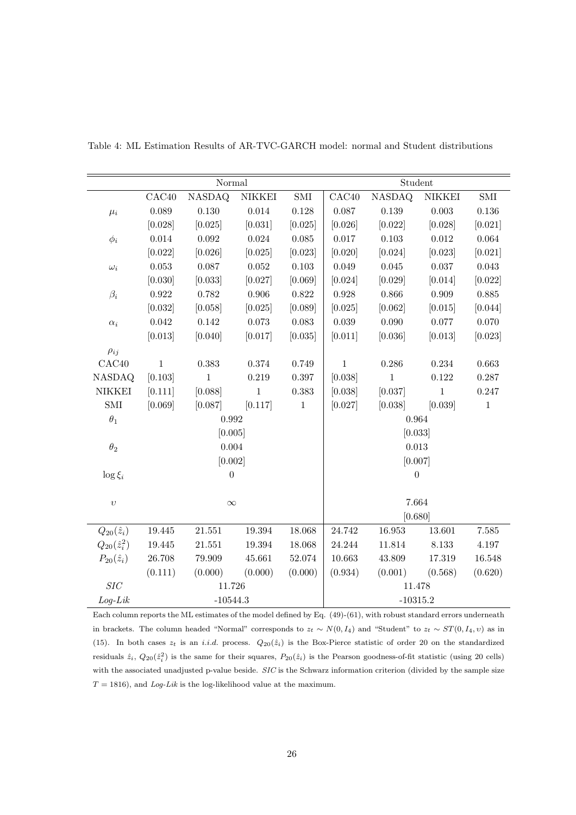|                       | Normal            |                |               |              | Student      |               |               |              |
|-----------------------|-------------------|----------------|---------------|--------------|--------------|---------------|---------------|--------------|
|                       | CAC <sub>40</sub> | <b>NASDAQ</b>  | <b>NIKKEI</b> | $\mbox{SMI}$ | CAC40        | <b>NASDAQ</b> | <b>NIKKEI</b> | $\mbox{SMI}$ |
| $\mu_i$               | 0.089             | $0.130\,$      | $\,0.014\,$   | 0.128        | 0.087        | $0.139\,$     | $0.003\,$     | $0.136\,$    |
|                       | [0.028]           | [0.025]        | [0.031]       | [0.025]      | [0.026]      | [0.022]       | [0.028]       | [0.021]      |
| $\phi_i$              | $0.014\,$         | $\,0.092\,$    | $\,0.024\,$   | $\,0.085\,$  | $0.017\,$    | $0.103\,$     | $0.012\,$     | 0.064        |
|                       | [0.022]           | [0.026]        | [0.025]       | [0.023]      | [0.020]      | [0.024]       | [0.023]       | [0.021]      |
| $\omega_i$            | $\,0.053\,$       | 0.087          | $0.052\,$     | $\,0.103\,$  | 0.049        | $0.045\,$     | $0.037\,$     | 0.043        |
|                       | [0.030]           | [0.033]        | [0.027]       | [0.069]      | [0.024]      | [0.029]       | [0.014]       | [0.022]      |
| $\beta_i$             | 0.922             | 0.782          | $0.906\,$     | 0.822        | 0.928        | 0.866         | 0.909         | 0.885        |
|                       | [0.032]           | [0.058]        | [0.025]       | [0.089]      | [0.025]      | [0.062]       | [0.015]       | [0.044]      |
| $\alpha_i$            | 0.042             | $0.142\,$      | $0.073\,$     | $\,0.083\,$  | $\,0.039\,$  | $0.090\,$     | $0.077\,$     | 0.070        |
|                       | [0.013]           | [0.040]        | [0.017]       | [0.035]      | [0.011]      | [0.036]       | [0.013]       | [0.023]      |
| $\rho_{ij}$           |                   |                |               |              |              |               |               |              |
| CAC40                 | $\mathbf{1}$      | 0.383          | 0.374         | 0.749        | $\mathbf{1}$ | 0.286         | 0.234         | 0.663        |
| <b>NASDAQ</b>         | [0.103]           | $\mathbf{1}$   | 0.219         | 0.397        | [0.038]      | $\mathbf{1}$  | 0.122         | 0.287        |
| $\it NIKKEI$          | [0.111]           | [0.088]        | $1\,$         | 0.383        | [0.038]      | [0.037]       | $\,1\,$       | 0.247        |
| $\mbox{SMI}$          | [0.069]           | [0.087]        | [0.117]       | $\mathbf{1}$ | [0.027]      | [0.038]       | [0.039]       | $\,1\,$      |
| $\theta_1$            | 0.992             |                |               |              |              | 0.964         |               |              |
|                       | [0.005]           |                |               | [0.033]      |              |               |               |              |
| $\theta_2$            |                   | $0.004\,$      |               |              | 0.013        |               |               |              |
|                       | [0.002]           |                |               |              | [0.007]      |               |               |              |
| $\log \xi_i$          |                   | $\overline{0}$ |               |              | $\theta$     |               |               |              |
|                       |                   |                |               |              |              |               |               |              |
| $\upsilon$            | $\infty$          |                |               | 7.664        |              |               |               |              |
|                       |                   |                |               | [0.680]      |              |               |               |              |
| $Q_{20}(\hat{z}_i)$   | 19.445            | 21.551         | 19.394        | 18.068       | 24.742       | $16.953\,$    | 13.601        | 7.585        |
| $Q_{20}(\hat{z}_i^2)$ | 19.445            | 21.551         | 19.394        | 18.068       | 24.244       | 11.814        | $8.133\,$     | 4.197        |
| $P_{20}(\hat{z}_i)$   | $26.708\,$        | 79.909         | 45.661        | 52.074       | 10.663       | 43.809        | 17.319        | 16.548       |
|                       | (0.111)           | (0.000)        | (0.000)       | (0.000)      | (0.934)      | (0.001)       | (0.568)       | (0.620)      |
| SIC                   | 11.726            |                |               |              | 11.478       |               |               |              |
| $Log-Lik$             | $-10544.3$        |                |               | $-10315.2$   |              |               |               |              |

Table 4: ML Estimation Results of AR-TVC-GARCH model: normal and Student distributions

Each column reports the ML estimates of the model defined by Eq. (49)-(61), with robust standard errors underneath in brackets. The column headed "Normal" corresponds to  $z_t \sim N(0, I_4)$  and "Student" to  $z_t \sim ST(0, I_4, v)$  as in (15). In both cases  $z_t$  is an *i.i.d.* process.  $Q_{20}(\hat{z}_i)$  is the Box-Pierce statistic of order 20 on the standardized residuals  $\hat{z}_i$ ,  $Q_{20}(\hat{z}_i^2)$  is the same for their squares,  $P_{20}(\hat{z}_i)$  is the Pearson goodness-of-fit statistic (using 20 cells) with the associated unadjusted p-value beside. SIC is the Schwarz information criterion (divided by the sample size  $T = 1816$ , and Log-Lik is the log-likelihood value at the maximum.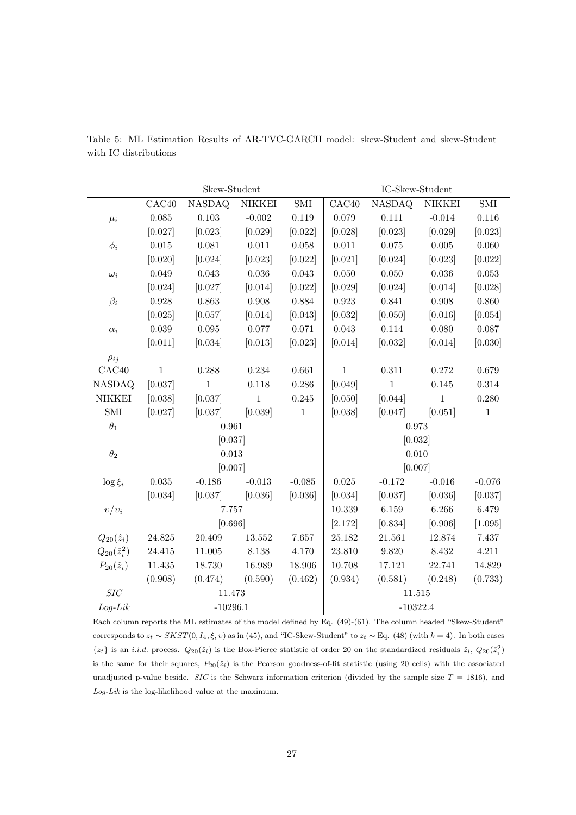|                       | Skew-Student |               |               |                      | $\operatorname{IC-Skew-Student}$ |               |               |              |
|-----------------------|--------------|---------------|---------------|----------------------|----------------------------------|---------------|---------------|--------------|
|                       | CAC40        | <b>NASDAQ</b> | <b>NIKKEI</b> | $\operatorname{SMI}$ | CAC40                            | <b>NASDAQ</b> | <b>NIKKEI</b> | $\mbox{SMI}$ |
| $\mu_i$               | 0.085        | $0.103\,$     | $-0.002$      | 0.119                | 0.079                            | 0.111         | $-0.014$      | 0.116        |
|                       | [0.027]      | [0.023]       | [0.029]       | [0.022]              | [0.028]                          | [0.023]       | [0.029]       | [0.023]      |
| $\phi_i$              | $0.015\,$    | $\,0.081\,$   | $0.011\,$     | $0.058\,$            | $0.011\,$                        | $0.075\,$     | $0.005\,$     | 0.060        |
|                       | [0.020]      | [0.024]       | [0.023]       | [0.022]              | [0.021]                          | [0.024]       | [0.023]       | [0.022]      |
| $\omega_i$            | 0.049        | $\,0.043\,$   | $0.036\,$     | 0.043                | $0.050\,$                        | $0.050\,$     | $0.036\,$     | 0.053        |
|                       | [0.024]      | [0.027]       | [0.014]       | [0.022]              | [0.029]                          | [0.024]       | [0.014]       | [0.028]      |
| $\beta_i$             | $0.928\,$    | 0.863         | 0.908         | 0.884                | $\,0.923\,$                      | 0.841         | 0.908         | 0.860        |
|                       | [0.025]      | [0.057]       | [0.014]       | [0.043]              | [0.032]                          | [0.050]       | [0.016]       | [0.054]      |
| $\alpha_i$            | 0.039        | $\,0.095\,$   | $0.077\,$     | 0.071                | 0.043                            | 0.114         | 0.080         | 0.087        |
|                       | [0.011]      | [0.034]       | [0.013]       | [0.023]              | [0.014]                          | [0.032]       | [0.014]       | [0.030]      |
| $\rho_{ij}$           |              |               |               |                      |                                  |               |               |              |
| CAC40                 | $1\,$        | 0.288         | $0.234\,$     | 0.661                | $\,1\,$                          | $0.311\,$     | $0.272\,$     | 0.679        |
| <b>NASDAQ</b>         | [0.037]      | $\mathbf{1}$  | 0.118         | 0.286                | [0.049]                          | $\mathbf{1}$  | 0.145         | 0.314        |
| <b>NIKKEI</b>         | [0.038]      | [0.037]       | $\mathbf{1}$  | 0.245                | [0.050]                          | [0.044]       | $\mathbf{1}$  | 0.280        |
| $\operatorname{SMI}$  | [0.027]      | [0.037]       | [0.039]       | $\,1\,$              | [0.038]                          | [0.047]       | [0.051]       | $1\,$        |
| $\theta_1$            | 0.961        |               |               |                      | 0.973                            |               |               |              |
|                       | [0.037]      |               |               |                      | [0.032]                          |               |               |              |
| $\theta_2$            |              | 0.013         |               |                      | 0.010                            |               |               |              |
|                       |              | [0.007]       |               |                      | [0.007]                          |               |               |              |
| $\log \xi_i$          | $\,0.035\,$  | $-0.186$      | $-0.013$      | $-0.085$             | $\,0.025\,$                      | $-0.172$      | $-0.016$      | $-0.076$     |
|                       | [0.034]      | [0.037]       | [0.036]       | [0.036]              | [0.034]                          | [0.037]       | [0.036]       | [0.037]      |
| $v/v_i$               |              | 7.757         |               |                      | 10.339                           | 6.159         | 6.266         | 6.479        |
|                       |              | [0.696]       |               |                      | [2.172]                          | [0.834]       | [0.906]       | [1.095]      |
| $Q_{20}(\hat{z}_i)$   | 24.825       | 20.409        | 13.552        | 7.657                | 25.182                           | 21.561        | 12.874        | 7.437        |
| $Q_{20}(\hat{z}_i^2)$ | 24.415       | 11.005        | 8.138         | 4.170                | 23.810                           | 9.820         | 8.432         | 4.211        |
| $P_{20}(\hat{z}_i)$   | 11.435       | 18.730        | 16.989        | 18.906               | 10.708                           | 17.121        | 22.741        | 14.829       |
|                       | (0.908)      | (0.474)       | (0.590)       | (0.462)              | (0.934)                          | (0.581)       | (0.248)       | (0.733)      |
| $SIC$                 | 11.473       |               |               |                      | 11.515                           |               |               |              |
| $Log-Lik$             | $-10296.1$   |               |               | $-10322.4$           |                                  |               |               |              |

Table 5: ML Estimation Results of AR-TVC-GARCH model: skew-Student and skew-Student with IC distributions

Each column reports the ML estimates of the model defined by Eq. (49)-(61). The column headed "Skew-Student" corresponds to  $z_t \sim SKST(0, I_4, \xi, v)$  as in (45), and "IC-Skew-Student" to  $z_t \sim$  Eq. (48) (with  $k = 4$ ). In both cases  $\{z_t\}$  is an *i.i.d.* process.  $Q_{20}(\hat{z}_i)$  is the Box-Pierce statistic of order 20 on the standardized residuals  $\hat{z}_i$ ,  $Q_{20}(\hat{z}_i^2)$ is the same for their squares,  $P_{20}(\hat{z}_i)$  is the Pearson goodness-of-fit statistic (using 20 cells) with the associated unadjusted p-value beside. SIC is the Schwarz information criterion (divided by the sample size  $T = 1816$ ), and  $\emph{Log-Lik}$  is the log-likelihood value at the maximum.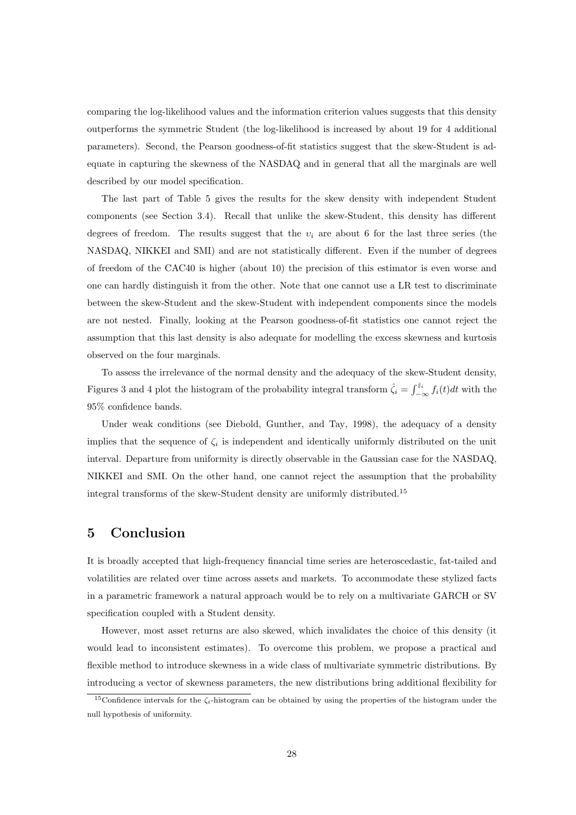comparing the log-likelihood values and the information criterion values suggests that this density outperforms the symmetric Student (the log-likelihood is increased by about 19 for 4 additional parameters). Second, the Pearson goodness-of-fit statistics suggest that the skew-Student is adequate in capturing the skewness of the NASDAQ and in general that all the marginals are well described by our model specification.

The last part of Table 5 gives the results for the skew density with independent Student components (see Section 3.4). Recall that unlike the skew-Student, this density has different degrees of freedom. The results suggest that the  $v_i$  are about 6 for the last three series (the NASDAQ, NIKKEI and SMI) and are not statistically different. Even if the number of degrees of freedom of the CAC40 is higher (about 10) the precision of this estimator is even worse and one can hardly distinguish it from the other. Note that one cannot use a LR test to discriminate between the skew-Student and the skew-Student with independent components since the models are not nested. Finally, looking at the Pearson goodness-of-fit statistics one cannot reject the assumption that this last density is also adequate for modelling the excess skewness and kurtosis observed on the four marginals.

To assess the irrelevance of the normal density and the adequacy of the skew-Student density, Figures 3 and 4 plot the histogram of the probability integral transform  $\hat{\zeta}_i = \int_{-\infty}^{\hat{z}_i} f_i(t)dt$  with the 95% confidence bands.

Under weak conditions (see Diebold, Gunther, and Tay, 1998), the adequacy of a density implies that the sequence of  $\zeta_i$  is independent and identically uniformly distributed on the unit interval. Departure from uniformity is directly observable in the Gaussian case for the NASDAQ, NIKKEI and SMI. On the other hand, one cannot reject the assumption that the probability integral transforms of the skew-Student density are uniformly distributed.<sup>15</sup>

# **5 Conclusion**

It is broadly accepted that high-frequency financial time series are heteroscedastic, fat-tailed and volatilities are related over time across assets and markets. To accommodate these stylized facts in a parametric framework a natural approach would be to rely on a multivariate GARCH or SV specification coupled with a Student density.

However, most asset returns are also skewed, which invalidates the choice of this density (it would lead to inconsistent estimates). To overcome this problem, we propose a practical and flexible method to introduce skewness in a wide class of multivariate symmetric distributions. By introducing a vector of skewness parameters, the new distributions bring additional flexibility for

<sup>&</sup>lt;sup>15</sup>Confidence intervals for the  $\zeta_i$ -histogram can be obtained by using the properties of the histogram under the null hypothesis of uniformity.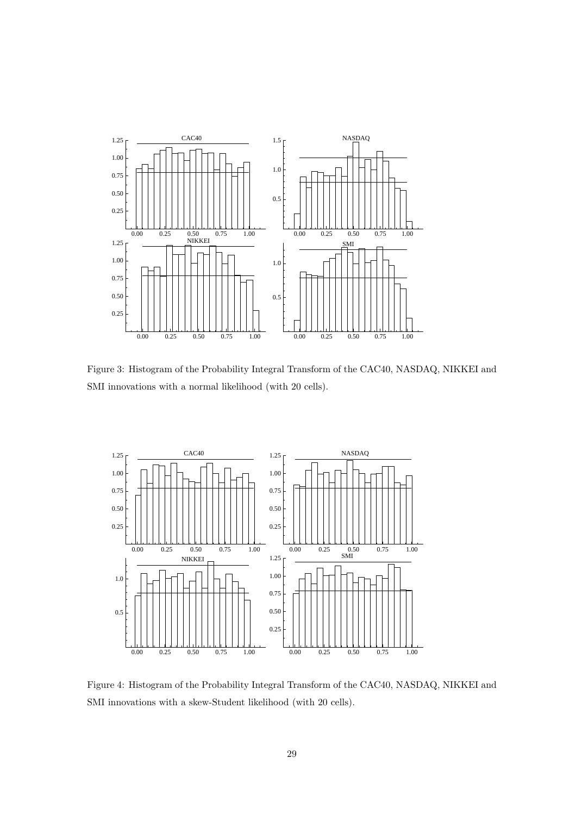

Figure 3: Histogram of the Probability Integral Transform of the CAC40, NASDAQ, NIKKEI and SMI innovations with a normal likelihood (with 20 cells).



Figure 4: Histogram of the Probability Integral Transform of the CAC40, NASDAQ, NIKKEI and SMI innovations with a skew-Student likelihood (with 20 cells).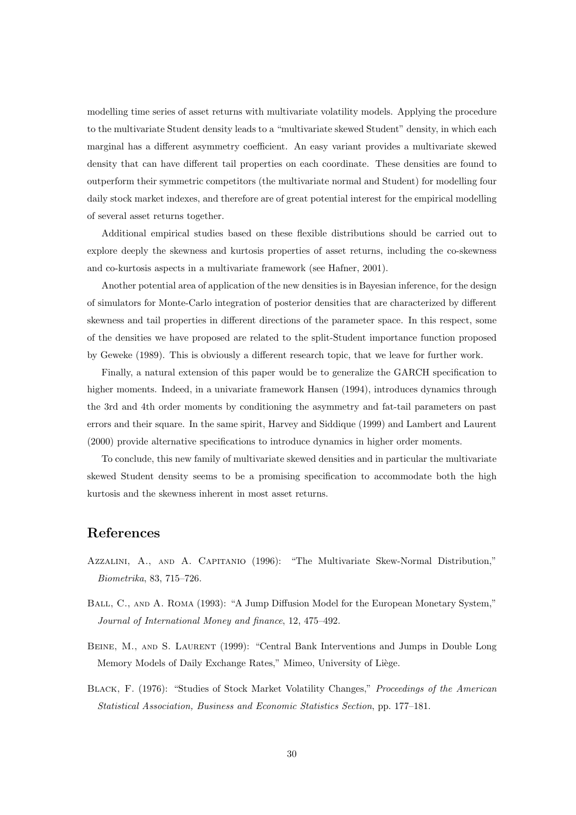modelling time series of asset returns with multivariate volatility models. Applying the procedure to the multivariate Student density leads to a "multivariate skewed Student" density, in which each marginal has a different asymmetry coefficient. An easy variant provides a multivariate skewed density that can have different tail properties on each coordinate. These densities are found to outperform their symmetric competitors (the multivariate normal and Student) for modelling four daily stock market indexes, and therefore are of great potential interest for the empirical modelling of several asset returns together.

Additional empirical studies based on these flexible distributions should be carried out to explore deeply the skewness and kurtosis properties of asset returns, including the co-skewness and co-kurtosis aspects in a multivariate framework (see Hafner, 2001).

Another potential area of application of the new densities is in Bayesian inference, for the design of simulators for Monte-Carlo integration of posterior densities that are characterized by different skewness and tail properties in different directions of the parameter space. In this respect, some of the densities we have proposed are related to the split-Student importance function proposed by Geweke (1989). This is obviously a different research topic, that we leave for further work.

Finally, a natural extension of this paper would be to generalize the GARCH specification to higher moments. Indeed, in a univariate framework Hansen (1994), introduces dynamics through the 3rd and 4th order moments by conditioning the asymmetry and fat-tail parameters on past errors and their square. In the same spirit, Harvey and Siddique (1999) and Lambert and Laurent (2000) provide alternative specifications to introduce dynamics in higher order moments.

To conclude, this new family of multivariate skewed densities and in particular the multivariate skewed Student density seems to be a promising specification to accommodate both the high kurtosis and the skewness inherent in most asset returns.

## **References**

- Azzalini, A., and A. Capitanio (1996): "The Multivariate Skew-Normal Distribution," Biometrika, 83, 715–726.
- BALL, C., AND A. ROMA (1993): "A Jump Diffusion Model for the European Monetary System," Journal of International Money and finance, 12, 475–492.
- BEINE, M., AND S. LAURENT (1999): "Central Bank Interventions and Jumps in Double Long Memory Models of Daily Exchange Rates," Mimeo, University of Liège.
- BLACK, F. (1976): "Studies of Stock Market Volatility Changes," Proceedings of the American Statistical Association, Business and Economic Statistics Section, pp. 177–181.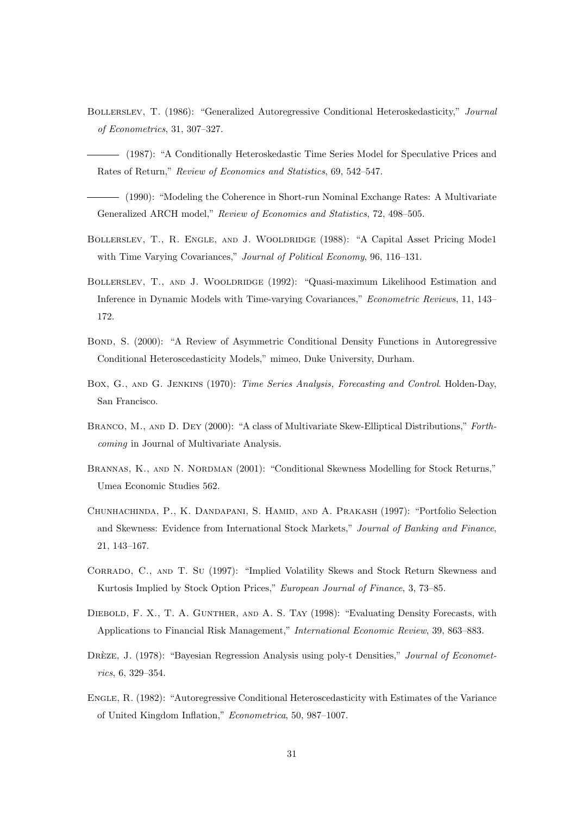- Bollerslev, T. (1986): "Generalized Autoregressive Conditional Heteroskedasticity," Journal of Econometrics, 31, 307–327.
- (1987): "A Conditionally Heteroskedastic Time Series Model for Speculative Prices and Rates of Return," Review of Economics and Statistics, 69, 542–547.
- (1990): "Modeling the Coherence in Short-run Nominal Exchange Rates: A Multivariate Generalized ARCH model," Review of Economics and Statistics, 72, 498–505.
- BOLLERSLEV, T., R. ENGLE, AND J. WOOLDRIDGE (1988): "A Capital Asset Pricing Mode1 with Time Varying Covariances," Journal of Political Economy, 96, 116–131.
- BOLLERSLEV, T., AND J. WOOLDRIDGE (1992): "Quasi-maximum Likelihood Estimation and Inference in Dynamic Models with Time-varying Covariances," Econometric Reviews, 11, 143– 172.
- BOND, S. (2000): "A Review of Asymmetric Conditional Density Functions in Autoregressive Conditional Heteroscedasticity Models," mimeo, Duke University, Durham.
- Box, G., and G. Jenkins (1970): Time Series Analysis, Forecasting and Control. Holden-Day, San Francisco.
- Branco, M., and D. Dey (2000): "A class of Multivariate Skew-Elliptical Distributions," Forthcoming in Journal of Multivariate Analysis.
- BRANNAS, K., AND N. NORDMAN (2001): "Conditional Skewness Modelling for Stock Returns," Umea Economic Studies 562.
- Chunhachinda, P., K. Dandapani, S. Hamid, and A. Prakash (1997): "Portfolio Selection and Skewness: Evidence from International Stock Markets," Journal of Banking and Finance, 21, 143–167.
- Corrado, C., and T. Su (1997): "Implied Volatility Skews and Stock Return Skewness and Kurtosis Implied by Stock Option Prices," European Journal of Finance, 3, 73–85.
- DIEBOLD, F. X., T. A. GUNTHER, AND A. S. TAY (1998): "Evaluating Density Forecasts, with Applications to Financial Risk Management," International Economic Review, 39, 863–883.
- DREZE, J. (1978): "Bayesian Regression Analysis using poly-t Densities," Journal of Econometrics, 6, 329–354.
- Engle, R. (1982): "Autoregressive Conditional Heteroscedasticity with Estimates of the Variance of United Kingdom Inflation," Econometrica, 50, 987–1007.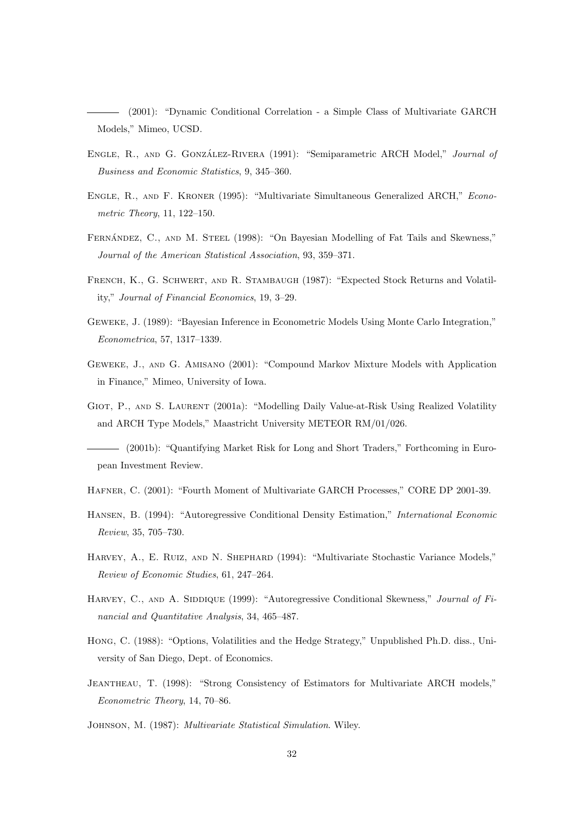(2001): "Dynamic Conditional Correlation - a Simple Class of Multivariate GARCH Models," Mimeo, UCSD.

- ENGLE, R., AND G. GONZÁLEZ-RIVERA (1991): "Semiparametric ARCH Model," Journal of Business and Economic Statistics, 9, 345–360.
- Engle, R., and F. Kroner (1995): "Multivariate Simultaneous Generalized ARCH," Econometric Theory, 11, 122–150.
- FERNÁNDEZ, C., AND M. STEEL (1998): "On Bayesian Modelling of Fat Tails and Skewness," Journal of the American Statistical Association, 93, 359–371.
- FRENCH, K., G. SCHWERT, AND R. STAMBAUGH (1987): "Expected Stock Returns and Volatility," Journal of Financial Economics, 19, 3–29.
- Geweke, J. (1989): "Bayesian Inference in Econometric Models Using Monte Carlo Integration," Econometrica, 57, 1317–1339.
- Geweke, J., and G. Amisano (2001): "Compound Markov Mixture Models with Application in Finance," Mimeo, University of Iowa.
- GIOT, P., AND S. LAURENT (2001a): "Modelling Daily Value-at-Risk Using Realized Volatility and ARCH Type Models," Maastricht University METEOR RM/01/026.

(2001b): "Quantifying Market Risk for Long and Short Traders," Forthcoming in European Investment Review.

- Hafner, C. (2001): "Fourth Moment of Multivariate GARCH Processes," CORE DP 2001-39.
- Hansen, B. (1994): "Autoregressive Conditional Density Estimation," International Economic Review, 35, 705–730.
- HARVEY, A., E. RUIZ, AND N. SHEPHARD (1994): "Multivariate Stochastic Variance Models," Review of Economic Studies, 61, 247–264.
- HARVEY, C., AND A. SIDDIQUE (1999): "Autoregressive Conditional Skewness," Journal of Financial and Quantitative Analysis, 34, 465–487.
- Hong, C. (1988): "Options, Volatilities and the Hedge Strategy," Unpublished Ph.D. diss., University of San Diego, Dept. of Economics.
- Jeantheau, T. (1998): "Strong Consistency of Estimators for Multivariate ARCH models," Econometric Theory, 14, 70–86.

Johnson, M. (1987): Multivariate Statistical Simulation. Wiley.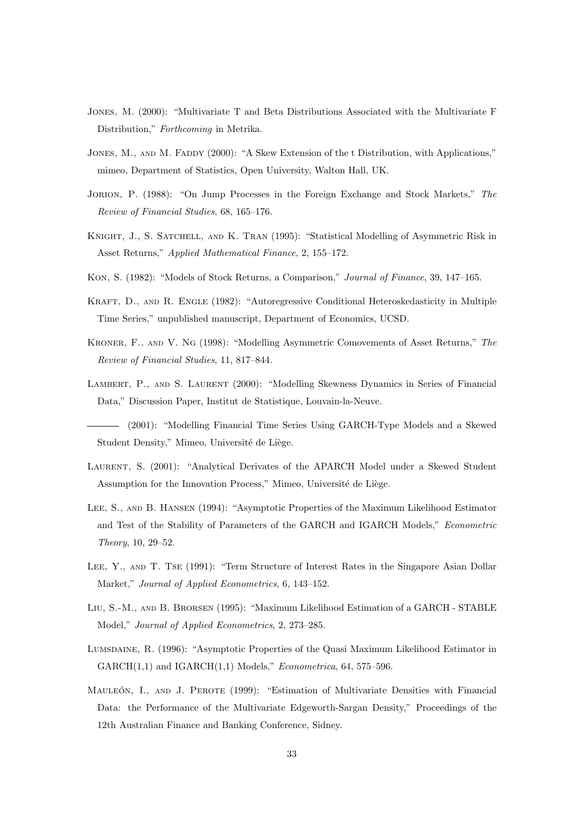- Jones, M. (2000): "Multivariate T and Beta Distributions Associated with the Multivariate F Distribution," Forthcoming in Metrika.
- JONES, M., AND M. FADDY (2000): "A Skew Extension of the t Distribution, with Applications," mimeo, Department of Statistics, Open University, Walton Hall, UK.
- JORION, P. (1988): "On Jump Processes in the Foreign Exchange and Stock Markets," The Review of Financial Studies, 68, 165–176.
- KNIGHT, J., S. SATCHELL, AND K. TRAN (1995): "Statistical Modelling of Asymmetric Risk in Asset Returns," Applied Mathematical Finance, 2, 155–172.
- Kon, S. (1982): "Models of Stock Returns, a Comparison," Journal of Finance, 39, 147–165.
- Kraft, D., and R. Engle (1982): "Autoregressive Conditional Heteroskedasticity in Multiple Time Series," unpublished manuscript, Department of Economics, UCSD.
- Kroner, F., and V. Ng (1998): "Modelling Asymmetric Comovements of Asset Returns," The Review of Financial Studies, 11, 817–844.
- LAMBERT, P., AND S. LAURENT (2000): "Modelling Skewness Dynamics in Series of Financial Data," Discussion Paper, Institut de Statistique, Louvain-la-Neuve.
- (2001): "Modelling Financial Time Series Using GARCH-Type Models and a Skewed Student Density," Mimeo, Université de Liège.
- LAURENT, S. (2001): "Analytical Derivates of the APARCH Model under a Skewed Student Assumption for the Innovation Process," Mimeo, Université de Liège.
- Lee, S., and B. Hansen (1994): "Asymptotic Properties of the Maximum Likelihood Estimator and Test of the Stability of Parameters of the GARCH and IGARCH Models," Econometric Theory, 10, 29–52.
- Lee, Y., and T. Tse (1991): "Term Structure of Interest Rates in the Singapore Asian Dollar Market," Journal of Applied Econometrics, 6, 143–152.
- Liu, S.-M., and B. Brorsen (1995): "Maximum Likelihood Estimation of a GARCH STABLE Model," Journal of Applied Econometrics, 2, 273–285.
- Lumsdaine, R. (1996): "Asymptotic Properties of the Quasi Maximum Likelihood Estimator in  $GARCH(1,1)$  and  $IGARCH(1,1)$  Models," *Econometrica*, 64, 575–596.
- MAULEÓN, I., AND J. PEROTE (1999): "Estimation of Multivariate Densities with Financial Data: the Performance of the Multivariate Edgeworth-Sargan Density," Proceedings of the 12th Australian Finance and Banking Conference, Sidney.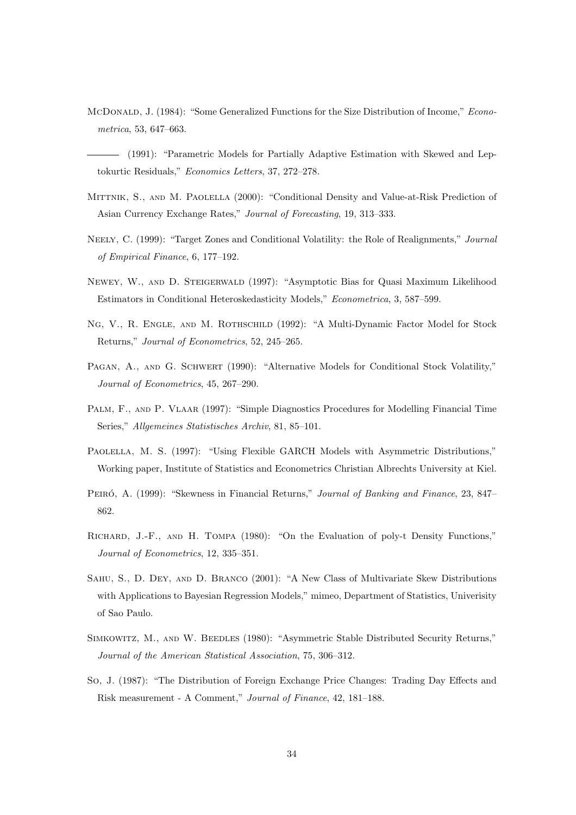- McDonald, J. (1984): "Some Generalized Functions for the Size Distribution of Income," Econometrica, 53, 647–663.
- (1991): "Parametric Models for Partially Adaptive Estimation with Skewed and Leptokurtic Residuals," Economics Letters, 37, 272–278.
- MITTNIK, S., AND M. PAOLELLA (2000): "Conditional Density and Value-at-Risk Prediction of Asian Currency Exchange Rates," Journal of Forecasting, 19, 313–333.
- NEELY, C. (1999): "Target Zones and Conditional Volatility: the Role of Realignments," Journal of Empirical Finance, 6, 177–192.
- Newey, W., and D. Steigerwald (1997): "Asymptotic Bias for Quasi Maximum Likelihood Estimators in Conditional Heteroskedasticity Models," Econometrica, 3, 587–599.
- NG, V., R. ENGLE, AND M. ROTHSCHILD (1992): "A Multi-Dynamic Factor Model for Stock Returns," Journal of Econometrics, 52, 245–265.
- PAGAN, A., AND G. SCHWERT (1990): "Alternative Models for Conditional Stock Volatility," Journal of Econometrics, 45, 267–290.
- PALM, F., AND P. VLAAR (1997): "Simple Diagnostics Procedures for Modelling Financial Time Series," Allgemeines Statistisches Archiv, 81, 85–101.
- Paolella, M. S. (1997): "Using Flexible GARCH Models with Asymmetric Distributions," Working paper, Institute of Statistics and Econometrics Christian Albrechts University at Kiel.
- PEIRÓ, A. (1999): "Skewness in Financial Returns," Journal of Banking and Finance, 23, 847– 862.
- Richard, J.-F., and H. Tompa (1980): "On the Evaluation of poly-t Density Functions," Journal of Econometrics, 12, 335–351.
- Sahu, S., D. Dey, and D. Branco (2001): "A New Class of Multivariate Skew Distributions with Applications to Bayesian Regression Models," mimeo, Department of Statistics, Univerisity of Sao Paulo.
- SIMKOWITZ, M., AND W. BEEDLES (1980): "Asymmetric Stable Distributed Security Returns," Journal of the American Statistical Association, 75, 306–312.
- So, J. (1987): "The Distribution of Foreign Exchange Price Changes: Trading Day Effects and Risk measurement - A Comment," Journal of Finance, 42, 181–188.